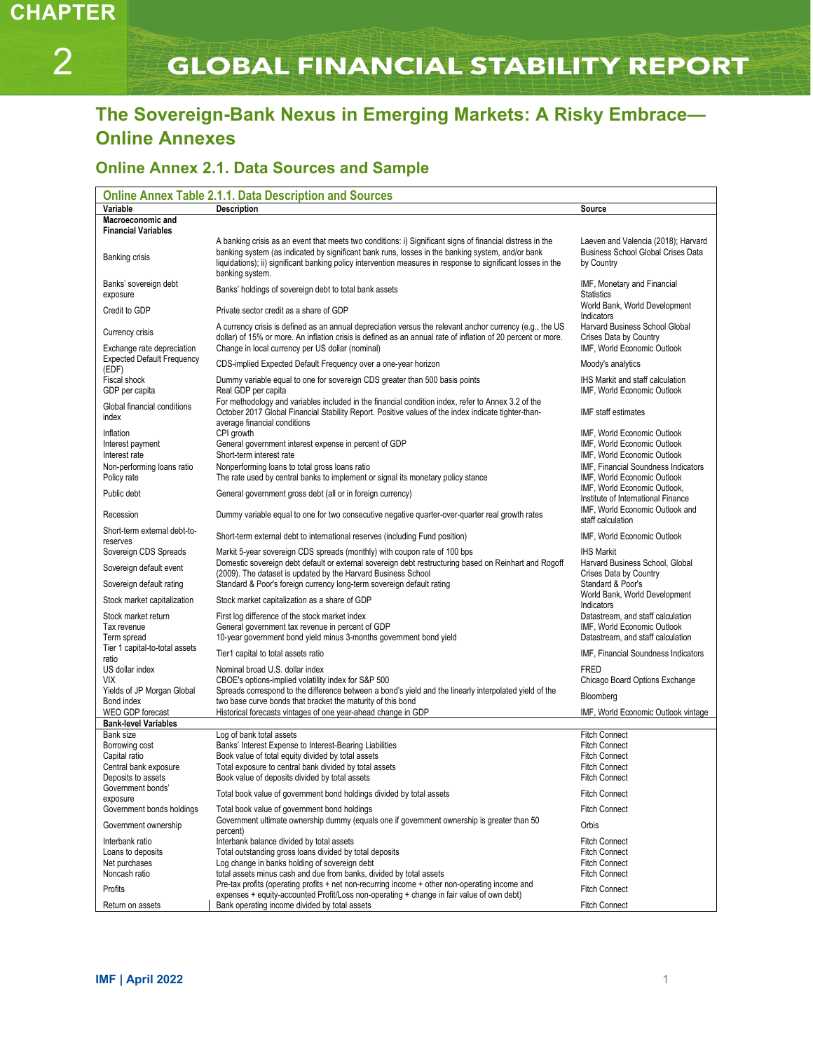# **GLOBAL FINANCIAL STABILITY REPORT**

# **The Sovereign-Bank Nexus in Emerging Markets: A Risky Embrace— Online Annexes**

# **Online Annex 2.1. Data Sources and Sample**

| <b>Online Annex Table 2.1.1. Data Description and Sources</b>            |                                                                                                                                                                                                                                                                                                                                                  |                                                                                                |  |  |  |  |
|--------------------------------------------------------------------------|--------------------------------------------------------------------------------------------------------------------------------------------------------------------------------------------------------------------------------------------------------------------------------------------------------------------------------------------------|------------------------------------------------------------------------------------------------|--|--|--|--|
| Variable                                                                 | <b>Description</b>                                                                                                                                                                                                                                                                                                                               | Source                                                                                         |  |  |  |  |
| Macroeconomic and<br><b>Financial Variables</b>                          |                                                                                                                                                                                                                                                                                                                                                  |                                                                                                |  |  |  |  |
| Banking crisis                                                           | A banking crisis as an event that meets two conditions: i) Significant signs of financial distress in the<br>banking system (as indicated by significant bank runs, losses in the banking system, and/or bank<br>liquidations); ii) significant banking policy intervention measures in response to significant losses in the<br>banking system. | Laeven and Valencia (2018); Harvard<br><b>Business School Global Crises Data</b><br>by Country |  |  |  |  |
| Banks' sovereign debt<br>exposure                                        | Banks' holdings of sovereign debt to total bank assets                                                                                                                                                                                                                                                                                           | IMF, Monetary and Financial<br><b>Statistics</b>                                               |  |  |  |  |
| Credit to GDP                                                            | Private sector credit as a share of GDP                                                                                                                                                                                                                                                                                                          | World Bank, World Development<br>Indicators                                                    |  |  |  |  |
| Currency crisis                                                          | A currency crisis is defined as an annual depreciation versus the relevant anchor currency (e.g., the US<br>dollar) of 15% or more. An inflation crisis is defined as an annual rate of inflation of 20 percent or more.                                                                                                                         | Harvard Business School Global<br>Crises Data by Country<br>IMF, World Economic Outlook        |  |  |  |  |
| Exchange rate depreciation<br><b>Expected Default Frequency</b><br>(EDF) | Change in local currency per US dollar (nominal)<br>CDS-implied Expected Default Frequency over a one-year horizon                                                                                                                                                                                                                               | Moody's analytics                                                                              |  |  |  |  |
| Fiscal shock<br>GDP per capita                                           | Dummy variable equal to one for sovereign CDS greater than 500 basis points<br>Real GDP per capita                                                                                                                                                                                                                                               | <b>IHS Markit and staff calculation</b><br>IMF, World Economic Outlook                         |  |  |  |  |
| Global financial conditions<br>index                                     | For methodology and variables included in the financial condition index, refer to Annex 3.2 of the<br>October 2017 Global Financial Stability Report. Positive values of the index indicate tighter-than-<br>average financial conditions                                                                                                        | IMF staff estimates                                                                            |  |  |  |  |
| Inflation<br>Interest payment<br>Interest rate                           | CPI growth<br>General government interest expense in percent of GDP<br>Short-term interest rate                                                                                                                                                                                                                                                  | IMF, World Economic Outlook<br>IMF, World Economic Outlook<br>IMF, World Economic Outlook      |  |  |  |  |
| Non-performing loans ratio<br>Policy rate                                | Nonperforming loans to total gross loans ratio<br>The rate used by central banks to implement or signal its monetary policy stance                                                                                                                                                                                                               | IMF, Financial Soundness Indicators<br>IMF, World Economic Outlook                             |  |  |  |  |
| Public debt                                                              | General government gross debt (all or in foreign currency)                                                                                                                                                                                                                                                                                       | IMF. World Economic Outlook.<br>Institute of International Finance                             |  |  |  |  |
| Recession                                                                | Dummy variable equal to one for two consecutive negative quarter-over-quarter real growth rates                                                                                                                                                                                                                                                  | IMF, World Economic Outlook and<br>staff calculation                                           |  |  |  |  |
| Short-term external debt-to-<br>reserves                                 | Short-term external debt to international reserves (including Fund position)                                                                                                                                                                                                                                                                     | IMF, World Economic Outlook                                                                    |  |  |  |  |
| Sovereign CDS Spreads<br>Sovereign default event                         | Markit 5-year sovereign CDS spreads (monthly) with coupon rate of 100 bps<br>Domestic sovereign debt default or external sovereign debt restructuring based on Reinhart and Rogoff                                                                                                                                                               | <b>IHS Markit</b><br>Harvard Business School, Global                                           |  |  |  |  |
| Sovereign default rating                                                 | (2009). The dataset is updated by the Harvard Business School<br>Standard & Poor's foreign currency long-term sovereign default rating                                                                                                                                                                                                           | Crises Data by Country<br>Standard & Poor's                                                    |  |  |  |  |
| Stock market capitalization                                              | Stock market capitalization as a share of GDP                                                                                                                                                                                                                                                                                                    | World Bank, World Development<br>Indicators                                                    |  |  |  |  |
| Stock market return<br>Tax revenue                                       | First log difference of the stock market index<br>General government tax revenue in percent of GDP                                                                                                                                                                                                                                               | Datastream, and staff calculation<br>IMF, World Economic Outlook                               |  |  |  |  |
| Term spread<br>Tier 1 capital-to-total assets                            | 10-year government bond yield minus 3-months government bond yield                                                                                                                                                                                                                                                                               | Datastream, and staff calculation                                                              |  |  |  |  |
| ratio<br>US dollar index                                                 | Tier1 capital to total assets ratio<br>Nominal broad U.S. dollar index                                                                                                                                                                                                                                                                           | IMF, Financial Soundness Indicators<br><b>FRED</b>                                             |  |  |  |  |
| VIX<br>Yields of JP Morgan Global                                        | CBOE's options-implied volatility index for S&P 500<br>Spreads correspond to the difference between a bond's yield and the linearly interpolated yield of the                                                                                                                                                                                    | Chicago Board Options Exchange                                                                 |  |  |  |  |
| Bond index<br>WEO GDP forecast                                           | two base curve bonds that bracket the maturity of this bond<br>Historical forecasts vintages of one year-ahead change in GDP                                                                                                                                                                                                                     | Bloomberg<br>IMF, World Economic Outlook vintage                                               |  |  |  |  |
| <b>Bank-level Variables</b>                                              |                                                                                                                                                                                                                                                                                                                                                  |                                                                                                |  |  |  |  |
| Bank size                                                                | Log of bank total assets                                                                                                                                                                                                                                                                                                                         | <b>Fitch Connect</b>                                                                           |  |  |  |  |
| Borrowing cost                                                           | Banks' Interest Expense to Interest-Bearing Liabilities                                                                                                                                                                                                                                                                                          | <b>Fitch Connect</b>                                                                           |  |  |  |  |
| Capital ratio                                                            | Book value of total equity divided by total assets                                                                                                                                                                                                                                                                                               | <b>Fitch Connect</b>                                                                           |  |  |  |  |
| Central bank exposure                                                    | Total exposure to central bank divided by total assets                                                                                                                                                                                                                                                                                           | <b>Fitch Connect</b>                                                                           |  |  |  |  |
| Deposits to assets                                                       | Book value of deposits divided by total assets                                                                                                                                                                                                                                                                                                   | <b>Fitch Connect</b>                                                                           |  |  |  |  |
| Government bonds<br>exposure                                             | Total book value of government bond holdings divided by total assets                                                                                                                                                                                                                                                                             | <b>Fitch Connect</b>                                                                           |  |  |  |  |
| Government bonds holdings                                                | Total book value of government bond holdings<br>Government ultimate ownership dummy (equals one if government ownership is greater than 50                                                                                                                                                                                                       | <b>Fitch Connect</b>                                                                           |  |  |  |  |
| Government ownership                                                     | percent)                                                                                                                                                                                                                                                                                                                                         | Orbis                                                                                          |  |  |  |  |
| Interbank ratio                                                          | Interbank balance divided by total assets                                                                                                                                                                                                                                                                                                        | <b>Fitch Connect</b>                                                                           |  |  |  |  |
| Loans to deposits                                                        | Total outstanding gross loans divided by total deposits                                                                                                                                                                                                                                                                                          | <b>Fitch Connect</b>                                                                           |  |  |  |  |
| Net purchases<br>Noncash ratio                                           | Log change in banks holding of sovereign debt<br>total assets minus cash and due from banks, divided by total assets                                                                                                                                                                                                                             | <b>Fitch Connect</b><br><b>Fitch Connect</b>                                                   |  |  |  |  |
|                                                                          | Pre-tax profits (operating profits $+$ net non-recurring income $+$ other non-operating income and                                                                                                                                                                                                                                               |                                                                                                |  |  |  |  |
| Profits                                                                  | expenses + equity-accounted Profit/Loss non-operating + change in fair value of own debt)                                                                                                                                                                                                                                                        | <b>Fitch Connect</b>                                                                           |  |  |  |  |
| Return on assets                                                         | Bank operating income divided by total assets                                                                                                                                                                                                                                                                                                    | <b>Fitch Connect</b>                                                                           |  |  |  |  |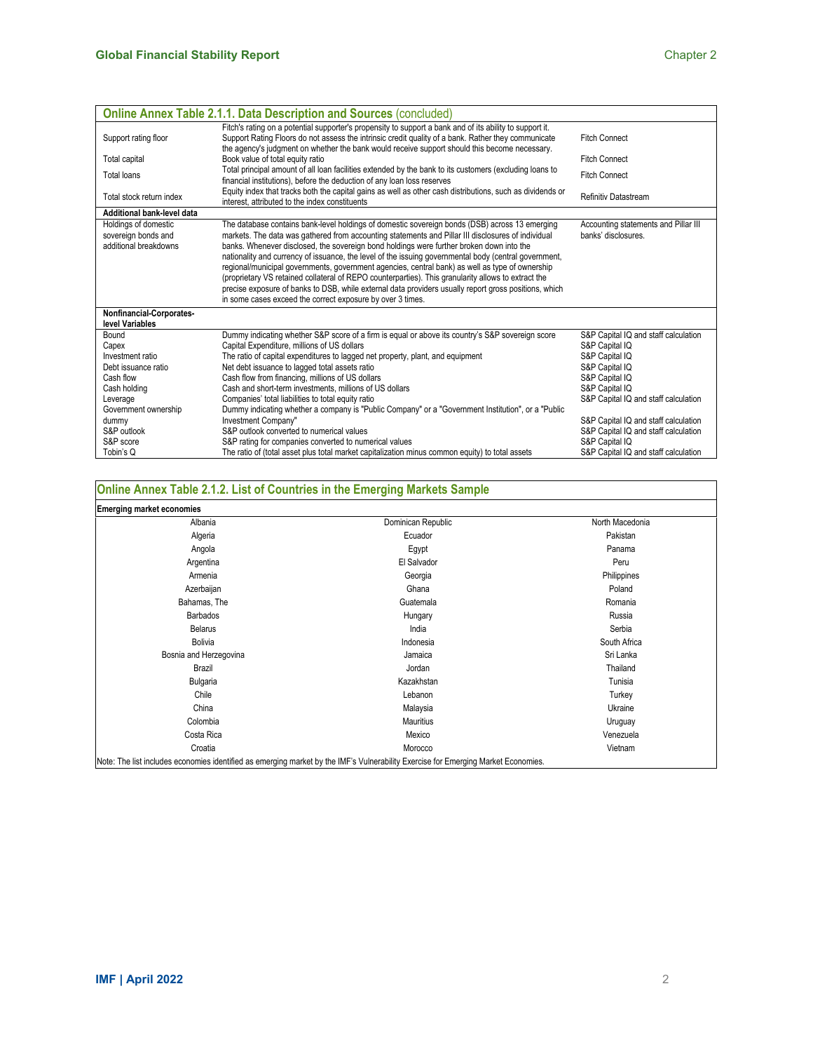|                                                                      | <b>Online Annex Table 2.1.1. Data Description and Sources (concluded)</b>                                                                                                                                                                                                                                                                                                                                                                                                                                                                                                                                                                                                                                                                                                                  |                                                             |  |  |
|----------------------------------------------------------------------|--------------------------------------------------------------------------------------------------------------------------------------------------------------------------------------------------------------------------------------------------------------------------------------------------------------------------------------------------------------------------------------------------------------------------------------------------------------------------------------------------------------------------------------------------------------------------------------------------------------------------------------------------------------------------------------------------------------------------------------------------------------------------------------------|-------------------------------------------------------------|--|--|
| Support rating floor                                                 | Fitch's rating on a potential supporter's propensity to support a bank and of its ability to support it.<br>Support Rating Floors do not assess the intrinsic credit quality of a bank. Rather they communicate                                                                                                                                                                                                                                                                                                                                                                                                                                                                                                                                                                            | <b>Fitch Connect</b>                                        |  |  |
| Total capital                                                        | the agency's judgment on whether the bank would receive support should this become necessary.<br>Book value of total equity ratio                                                                                                                                                                                                                                                                                                                                                                                                                                                                                                                                                                                                                                                          | <b>Fitch Connect</b>                                        |  |  |
| <b>Total loans</b>                                                   | Total principal amount of all loan facilities extended by the bank to its customers (excluding loans to<br>financial institutions), before the deduction of any loan loss reserves                                                                                                                                                                                                                                                                                                                                                                                                                                                                                                                                                                                                         | <b>Fitch Connect</b>                                        |  |  |
| Total stock return index                                             | Equity index that tracks both the capital gains as well as other cash distributions, such as dividends or<br>interest, attributed to the index constituents                                                                                                                                                                                                                                                                                                                                                                                                                                                                                                                                                                                                                                |                                                             |  |  |
| Additional bank-level data                                           |                                                                                                                                                                                                                                                                                                                                                                                                                                                                                                                                                                                                                                                                                                                                                                                            |                                                             |  |  |
| Holdings of domestic<br>sovereign bonds and<br>additional breakdowns | The database contains bank-level holdings of domestic sovereign bonds (DSB) across 13 emerging<br>markets. The data was gathered from accounting statements and Pillar III disclosures of individual<br>banks. Whenever disclosed, the sovereign bond holdings were further broken down into the<br>nationality and currency of issuance, the level of the issuing governmental body (central government,<br>regional/municipal governments, government agencies, central bank) as well as type of ownership<br>(proprietary VS retained collateral of REPO counterparties). This granularity allows to extract the<br>precise exposure of banks to DSB, while external data providers usually report gross positions, which<br>in some cases exceed the correct exposure by over 3 times. | Accounting statements and Pillar III<br>banks' disclosures. |  |  |
| Nonfinancial-Corporates-<br>level Variables                          |                                                                                                                                                                                                                                                                                                                                                                                                                                                                                                                                                                                                                                                                                                                                                                                            |                                                             |  |  |
| Bound                                                                | Dummy indicating whether S&P score of a firm is equal or above its country's S&P sovereign score                                                                                                                                                                                                                                                                                                                                                                                                                                                                                                                                                                                                                                                                                           | S&P Capital IQ and staff calculation                        |  |  |
| Capex                                                                | Capital Expenditure, millions of US dollars                                                                                                                                                                                                                                                                                                                                                                                                                                                                                                                                                                                                                                                                                                                                                | S&P Capital IQ                                              |  |  |
| Investment ratio                                                     | The ratio of capital expenditures to lagged net property, plant, and equipment                                                                                                                                                                                                                                                                                                                                                                                                                                                                                                                                                                                                                                                                                                             | S&P Capital IQ                                              |  |  |
| Debt issuance ratio<br>Cash flow                                     | Net debt issuance to lagged total assets ratio<br>Cash flow from financing, millions of US dollars                                                                                                                                                                                                                                                                                                                                                                                                                                                                                                                                                                                                                                                                                         | S&P Capital IQ                                              |  |  |
| Cash holding                                                         | Cash and short-term investments, millions of US dollars                                                                                                                                                                                                                                                                                                                                                                                                                                                                                                                                                                                                                                                                                                                                    | S&P Capital IQ<br>S&P Capital IQ                            |  |  |
| Leverage                                                             | Companies' total liabilities to total equity ratio                                                                                                                                                                                                                                                                                                                                                                                                                                                                                                                                                                                                                                                                                                                                         | S&P Capital IQ and staff calculation                        |  |  |
| Government ownership                                                 | Dummy indicating whether a company is "Public Company" or a "Government Institution", or a "Public                                                                                                                                                                                                                                                                                                                                                                                                                                                                                                                                                                                                                                                                                         |                                                             |  |  |
| dummy                                                                | Investment Company"                                                                                                                                                                                                                                                                                                                                                                                                                                                                                                                                                                                                                                                                                                                                                                        | S&P Capital IQ and staff calculation                        |  |  |
| S&P outlook                                                          | S&P outlook converted to numerical values                                                                                                                                                                                                                                                                                                                                                                                                                                                                                                                                                                                                                                                                                                                                                  | S&P Capital IQ and staff calculation                        |  |  |
| S&P score                                                            | S&P rating for companies converted to numerical values                                                                                                                                                                                                                                                                                                                                                                                                                                                                                                                                                                                                                                                                                                                                     | S&P Capital IQ                                              |  |  |
| Tobin's Q                                                            | The ratio of (total asset plus total market capitalization minus common equity) to total assets                                                                                                                                                                                                                                                                                                                                                                                                                                                                                                                                                                                                                                                                                            | S&P Capital IQ and staff calculation                        |  |  |

# **Online Annex Table 2.1.2. List of Countries in the Emerging Markets Sample**

| <b>Emerging market economies</b>                                                                                                   |                    |                 |  |  |  |
|------------------------------------------------------------------------------------------------------------------------------------|--------------------|-----------------|--|--|--|
| Albania                                                                                                                            | Dominican Republic | North Macedonia |  |  |  |
| Algeria                                                                                                                            | Ecuador            | Pakistan        |  |  |  |
| Angola                                                                                                                             | Egypt              | Panama          |  |  |  |
| Argentina                                                                                                                          | El Salvador        | Peru            |  |  |  |
| Armenia                                                                                                                            | Georgia            | Philippines     |  |  |  |
| Azerbaijan                                                                                                                         | Ghana              | Poland          |  |  |  |
| Bahamas, The                                                                                                                       | Guatemala          | Romania         |  |  |  |
| <b>Barbados</b>                                                                                                                    | Hungary            | Russia          |  |  |  |
| <b>Belarus</b>                                                                                                                     | India              | Serbia          |  |  |  |
| Bolivia                                                                                                                            | Indonesia          | South Africa    |  |  |  |
| Bosnia and Herzegovina                                                                                                             | Jamaica            | Sri Lanka       |  |  |  |
| Brazil                                                                                                                             | Jordan             | Thailand        |  |  |  |
| Bulgaria                                                                                                                           | Kazakhstan         | Tunisia         |  |  |  |
| Chile                                                                                                                              | Lebanon            | Turkey          |  |  |  |
| China                                                                                                                              | Malaysia           | Ukraine         |  |  |  |
| Colombia                                                                                                                           | Mauritius          | Uruguay         |  |  |  |
| Costa Rica                                                                                                                         | Mexico             | Venezuela       |  |  |  |
| Croatia                                                                                                                            | Morocco            | Vietnam         |  |  |  |
| Note: The list includes economies identified as emerging market by the IMF's Vulnerability Exercise for Emerging Market Economies. |                    |                 |  |  |  |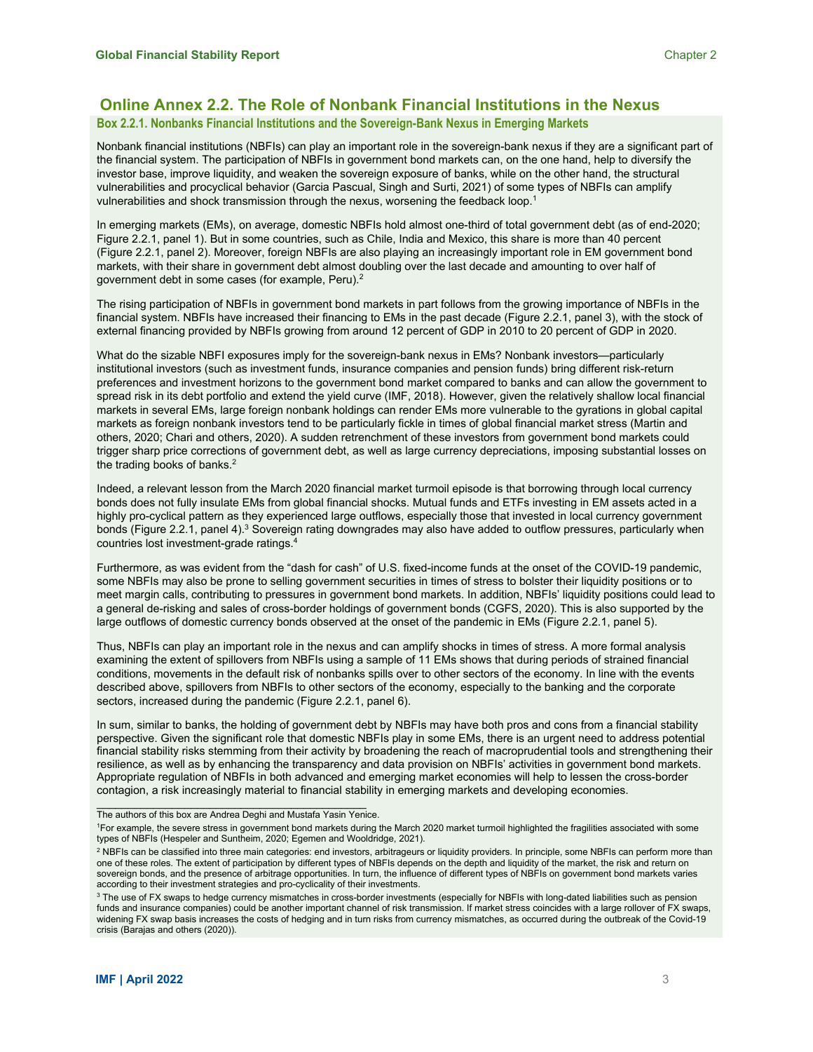# **Online Annex 2.2. The Role of Nonbank Financial Institutions in the Nexus**

# **Box 2.2.1. Nonbanks Financial Institutions and the Sovereign-Bank Nexus in Emerging Markets**

Nonbank financial institutions (NBFIs) can play an important role in the sovereign-bank nexus if they are a significant part of the financial system. The participation of NBFIs in government bond markets can, on the one hand, help to diversify the investor base, improve liquidity, and weaken the sovereign exposure of banks, while on the other hand, the structural vulnerabilities and procyclical behavior (Garcia Pascual, Singh and Surti, 2021) of some types of NBFIs can amplify vulnerabilities and shock transmission through the nexus, worsening the feedback loop.<sup>1</sup>

In emerging markets (EMs), on average, domestic NBFIs hold almost one-third of total government debt (as of end-2020; Figure 2.2.1, panel 1). But in some countries, such as Chile, India and Mexico, this share is more than 40 percent (Figure 2.2.1, panel 2). Moreover, foreign NBFIs are also playing an increasingly important role in EM government bond markets, with their share in government debt almost doubling over the last decade and amounting to over half of government debt in some cases (for example, Peru).2

The rising participation of NBFIs in government bond markets in part follows from the growing importance of NBFIs in the financial system. NBFIs have increased their financing to EMs in the past decade (Figure 2.2.1, panel 3), with the stock of external financing provided by NBFIs growing from around 12 percent of GDP in 2010 to 20 percent of GDP in 2020.

What do the sizable NBFI exposures imply for the sovereign-bank nexus in EMs? Nonbank investors—particularly institutional investors (such as investment funds, insurance companies and pension funds) bring different risk-return preferences and investment horizons to the government bond market compared to banks and can allow the government to spread risk in its debt portfolio and extend the yield curve (IMF, 2018). However, given the relatively shallow local financial markets in several EMs, large foreign nonbank holdings can render EMs more vulnerable to the gyrations in global capital markets as foreign nonbank investors tend to be particularly fickle in times of global financial market stress (Martin and others, 2020; Chari and others, 2020). A sudden retrenchment of these investors from government bond markets could trigger sharp price corrections of government debt, as well as large currency depreciations, imposing substantial losses on the trading books of banks.<sup>2</sup>

Indeed, a relevant lesson from the March 2020 financial market turmoil episode is that borrowing through local currency bonds does not fully insulate EMs from global financial shocks. Mutual funds and ETFs investing in EM assets acted in a highly pro-cyclical pattern as they experienced large outflows, especially those that invested in local currency government bonds (Figure 2.2.1, panel 4).<sup>3</sup> Sovereign rating downgrades may also have added to outflow pressures, particularly when countries lost investment-grade ratings.4

Furthermore, as was evident from the "dash for cash" of U.S. fixed-income funds at the onset of the COVID-19 pandemic, some NBFIs may also be prone to selling government securities in times of stress to bolster their liquidity positions or to meet margin calls, contributing to pressures in government bond markets. In addition, NBFIs' liquidity positions could lead to a general de-risking and sales of cross-border holdings of government bonds (CGFS, 2020). This is also supported by the large outflows of domestic currency bonds observed at the onset of the pandemic in EMs (Figure 2.2.1, panel 5).

Thus, NBFIs can play an important role in the nexus and can amplify shocks in times of stress. A more formal analysis examining the extent of spillovers from NBFIs using a sample of 11 EMs shows that during periods of strained financial conditions, movements in the default risk of nonbanks spills over to other sectors of the economy. In line with the events described above, spillovers from NBFIs to other sectors of the economy, especially to the banking and the corporate sectors, increased during the pandemic (Figure 2.2.1, panel 6).

In sum, similar to banks, the holding of government debt by NBFIs may have both pros and cons from a financial stability perspective. Given the significant role that domestic NBFIs play in some EMs, there is an urgent need to address potential financial stability risks stemming from their activity by broadening the reach of macroprudential tools and strengthening their resilience, as well as by enhancing the transparency and data provision on NBFIs' activities in government bond markets. Appropriate regulation of NBFIs in both advanced and emerging market economies will help to lessen the cross-border contagion, a risk increasingly material to financial stability in emerging markets and developing economies.

\_\_\_\_\_\_\_\_\_\_\_\_\_\_\_\_\_\_\_\_\_\_\_\_\_\_\_\_\_\_\_\_\_\_\_\_\_\_\_\_\_\_\_ The authors of this box are Andrea Deghi and Mustafa Yasin Yenice.

<sup>1</sup> For example, the severe stress in government bond markets during the March 2020 market turmoil highlighted the fragilities associated with some types of NBFIs (Hespeler and Suntheim, 2020; Egemen and Wooldridge, 2021).

<sup>&</sup>lt;sup>2</sup> NBFIs can be classified into three main categories: end investors, arbitrageurs or liquidity providers. In principle, some NBFIs can perform more than one of these roles. The extent of participation by different types of NBFIs depends on the depth and liquidity of the market, the risk and return on sovereign bonds, and the presence of arbitrage opportunities. In turn, the influence of different types of NBFIs on government bond markets varies according to their investment strategies and pro-cyclicality of their investments.

 $^3$  The use of FX swaps to hedge currency mismatches in cross-border investments (especially for NBFIs with long-dated liabilities such as pension funds and insurance companies) could be another important channel of risk transmission. If market stress coincides with a large rollover of FX swaps, widening FX swap basis increases the costs of hedging and in turn risks from currency mismatches, as occurred during the outbreak of the Covid-19 crisis (Barajas and others (2020)).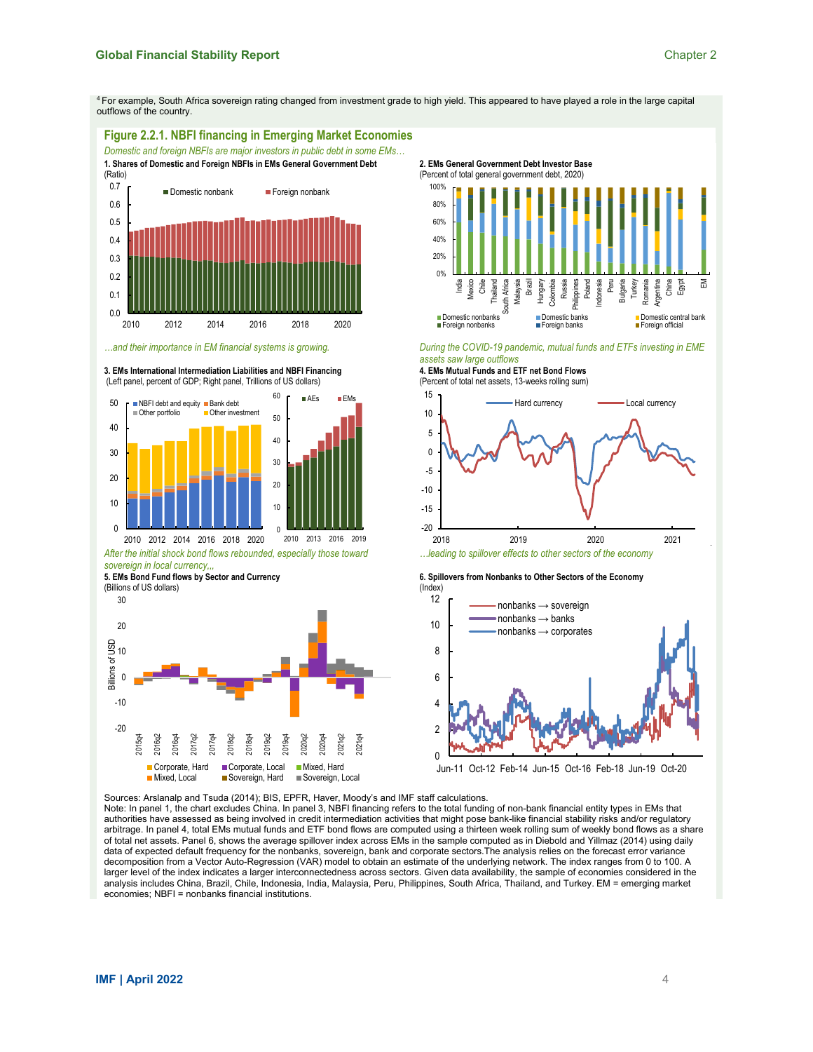4 For example, South Africa sovereign rating changed from investment grade to high yield. This appeared to have played a role in the large capital outflows of the country.





(Percent of total net assets, 13-weeks rolling sum)



*…leading to spillover effects to other sectors of the economy*

**6. Spillovers from Nonbanks to Other Sectors of the Economy** 



Sources: Arslanalp and Tsuda (2014); BIS, EPFR, Haver, Moody's and IMF staff calculations.

■ Mixed, Local ■ Sovereign, Hard ■ Sovereign, Local

Note: In panel 1, the chart excludes China. In panel 3, NBFI financing refers to the total funding of non-bank financial entity types in EMs that authorities have assessed as being involved in credit intermediation activities that might pose bank-like financial stability risks and/or regulatory arbitrage. In panel 4, total EMs mutual funds and ETF bond flows are computed using a thirteen week rolling sum of weekly bond flows as a share of total net assets. Panel 6, shows the average spillover index across EMs in the sample computed as in Diebold and Yillmaz (2014) using daily data of expected default frequency for the nonbanks, sovereign, bank and corporate sectors.The analysis relies on the forecast error variance decomposition from a Vector Auto-Regression (VAR) model to obtain an estimate of the underlying network. The index ranges from 0 to 100. A larger level of the index indicates a larger interconnectedness across sectors. Given data availability, the sample of economies considered in the analysis includes China, Brazil, Chile, Indonesia, India, Malaysia, Peru, Philippines, South Africa, Thailand, and Turkey. EM = emerging market economies; NBFI = nonbanks financial institutions.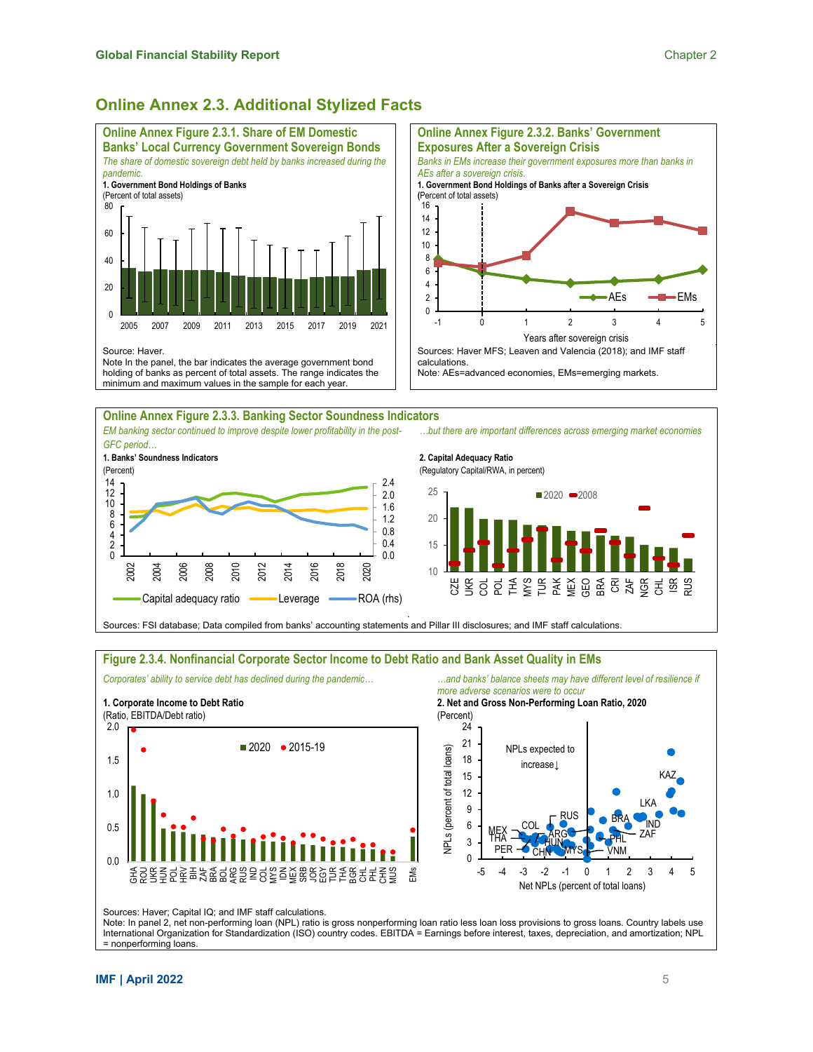## **Online Annex 2.3. Additional Stylized Facts**





**2. Capital Adequacy Ratio**  (Regulatory Capital/RWA, in percent)  $10$ 15 20 25 CZE  $\gtrapprox$ COL POL THA MYS TUR PAK MEX GEO BRA CRI ZAF NGR CHL ISR RUS  $2020 - 2008$ 

Sources: FSI database; Data compiled from banks' accounting statements and Pillar III disclosures; and IMF staff calculations.

#### **Figure 2.3.4. Nonfinancial Corporate Sector Income to Debt Ratio and Bank Asset Quality in EMs**



Corporates' ability to service debt has declined during the pandemic... **2008** ... and banks' balance sheets may have different level of resilience if *more adverse scenarios were to occur*

**2. Net and Gross Non-Performing Loan Ratio, 2020** 



Sources: Haver; Capital IQ; and IMF staff calculations.

Note: In panel 2, net non-performing loan (NPL) ratio is gross nonperforming loan ratio less loan loss provisions to gross loans. Country labels use International Organization for Standardization (ISO) country codes. EBITDA = Earnings before interest, taxes, depreciation, and amortization; NPL = nonperforming loans.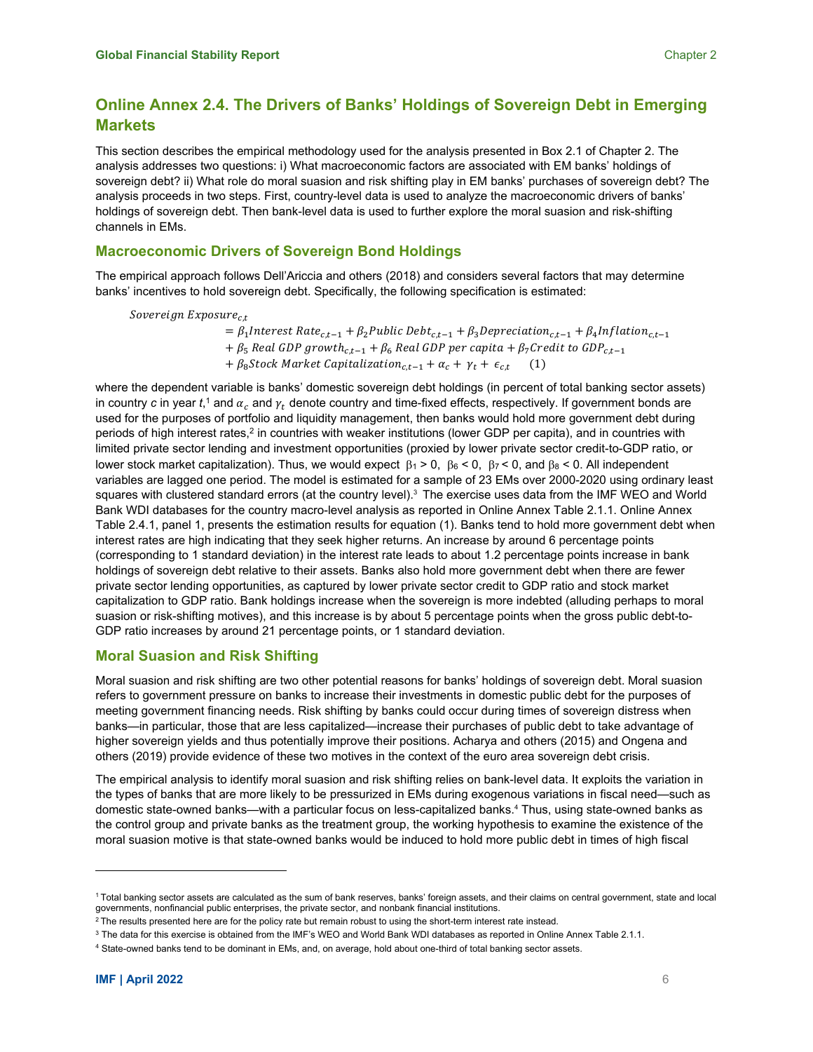## **Online Annex 2.4. The Drivers of Banks' Holdings of Sovereign Debt in Emerging Markets**

This section describes the empirical methodology used for the analysis presented in Box 2.1 of Chapter 2. The analysis addresses two questions: i) What macroeconomic factors are associated with EM banks' holdings of sovereign debt? ii) What role do moral suasion and risk shifting play in EM banks' purchases of sovereign debt? The analysis proceeds in two steps. First, country-level data is used to analyze the macroeconomic drivers of banks' holdings of sovereign debt. Then bank-level data is used to further explore the moral suasion and risk-shifting channels in EMs.

## **Macroeconomic Drivers of Sovereign Bond Holdings**

The empirical approach follows Dell'Ariccia and others (2018) and considers several factors that may determine banks' incentives to hold sovereign debt. Specifically, the following specification is estimated:

Sovereign Exposure $_{c,t}$ 

 $= \beta_1$ Interest Rate<sub>ct-1</sub> +  $\beta_2$ Public Debt<sub>ct-1</sub> +  $\beta_3$ Depreciation<sub>ct-1</sub> +  $\beta_4$ Inflation<sub>ct-1</sub> +  $\beta_5$  Real GDP growth<sub>c,t-1</sub> +  $\beta_6$  Real GDP per capita +  $\beta_7$ Credit to GDP<sub>c,t-1</sub> +  $\beta_8$ Stock Market Capitalization<sub>c,t-1</sub> +  $\alpha_c$  +  $\gamma_t$  +  $\epsilon_{c,t}$ 

where the dependent variable is banks' domestic sovereign debt holdings (in percent of total banking sector assets) in country  $c$  in year  $t,$  and  $\alpha_c$  and  $\gamma_t$  denote country and time-fixed effects, respectively. If government bonds are used for the purposes of portfolio and liquidity management, then banks would hold more government debt during periods of high interest rates,<sup>2</sup> in countries with weaker institutions (lower GDP per capita), and in countries with limited private sector lending and investment opportunities (proxied by lower private sector credit-to-GDP ratio, or lower stock market capitalization). Thus, we would expect  $\beta_1 > 0$ ,  $\beta_6 < 0$ ,  $\beta_7 < 0$ , and  $\beta_8 < 0$ . All independent variables are lagged one period. The model is estimated for a sample of 23 EMs over 2000-2020 using ordinary least squares with clustered standard errors (at the country level).<sup>3</sup> The exercise uses data from the IMF WEO and World Bank WDI databases for the country macro-level analysis as reported in Online Annex Table 2.1.1. Online Annex Table 2.4.1, panel 1, presents the estimation results for equation (1). Banks tend to hold more government debt when interest rates are high indicating that they seek higher returns. An increase by around 6 percentage points (corresponding to 1 standard deviation) in the interest rate leads to about 1.2 percentage points increase in bank holdings of sovereign debt relative to their assets. Banks also hold more government debt when there are fewer private sector lending opportunities, as captured by lower private sector credit to GDP ratio and stock market capitalization to GDP ratio. Bank holdings increase when the sovereign is more indebted (alluding perhaps to moral suasion or risk-shifting motives), and this increase is by about 5 percentage points when the gross public debt-to-GDP ratio increases by around 21 percentage points, or 1 standard deviation.

### **Moral Suasion and Risk Shifting**

Moral suasion and risk shifting are two other potential reasons for banks' holdings of sovereign debt. Moral suasion refers to government pressure on banks to increase their investments in domestic public debt for the purposes of meeting government financing needs. Risk shifting by banks could occur during times of sovereign distress when banks—in particular, those that are less capitalized—increase their purchases of public debt to take advantage of higher sovereign yields and thus potentially improve their positions. Acharya and others (2015) and Ongena and others (2019) provide evidence of these two motives in the context of the euro area sovereign debt crisis.

The empirical analysis to identify moral suasion and risk shifting relies on bank-level data. It exploits the variation in the types of banks that are more likely to be pressurized in EMs during exogenous variations in fiscal need—such as domestic state-owned banks—with a particular focus on less-capitalized banks.<sup>4</sup> Thus, using state-owned banks as the control group and private banks as the treatment group, the working hypothesis to examine the existence of the moral suasion motive is that state-owned banks would be induced to hold more public debt in times of high fiscal

<sup>1</sup> Total banking sector assets are calculated as the sum of bank reserves, banks' foreign assets, and their claims on central government, state and local governments, nonfinancial public enterprises, the private sector, and nonbank financial institutions.

 $2$  The results presented here are for the policy rate but remain robust to using the short-term interest rate instead.

 $^3$  The data for this exercise is obtained from the IMF's WEO and World Bank WDI databases as reported in Online Annex Table 2.1.1.

<sup>4</sup> State-owned banks tend to be dominant in EMs, and, on average, hold about one-third of total banking sector assets.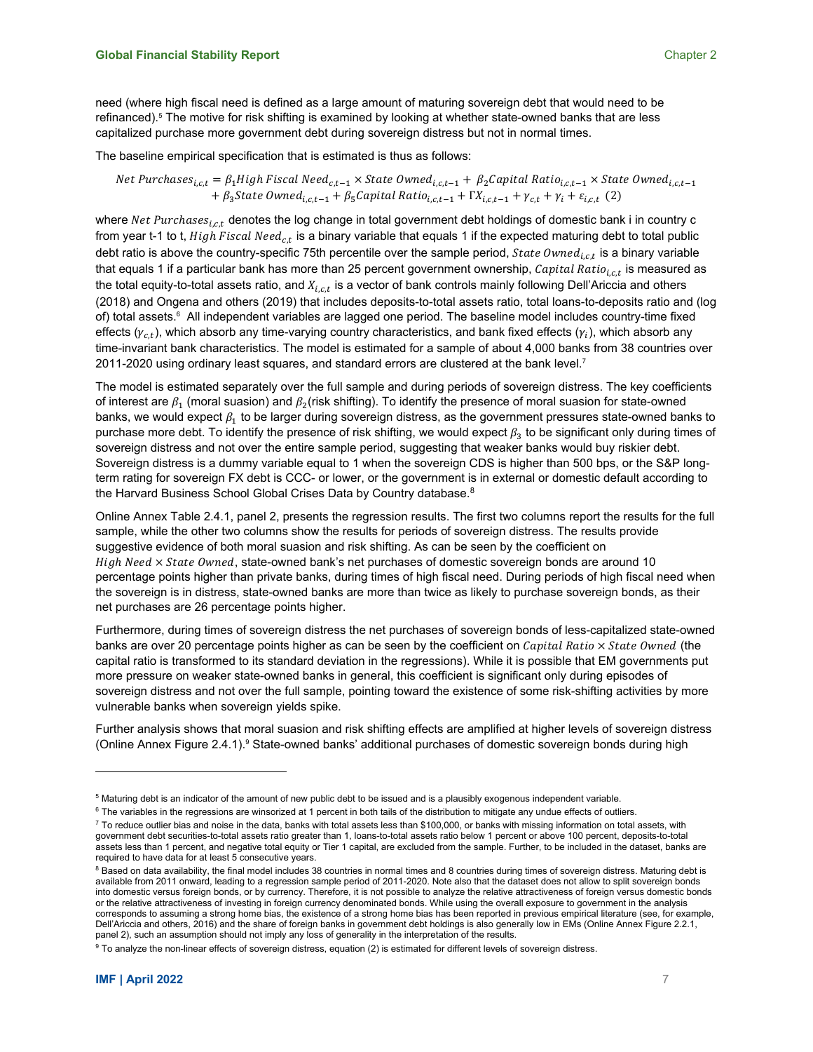The baseline empirical specification that is estimated is thus as follows:

Net Purchases<sub>i,c,t</sub> =  $\beta_1$ High Fiscal Need<sub>c,t-1</sub> × State Owned<sub>i,c,t-1</sub> +  $\beta_2$ Capital Ratio<sub>i,c,t-1</sub> × State Owned<sub>i,c,t-1</sub> +  $\beta_3$ State Owned<sub>i,c,t-1</sub> +  $\beta_5$ Capital Ratio<sub>i,c,t-1</sub> +  $\Gamma X_{i,c,t-1}$  +  $\gamma_{c,t}$  +  $\gamma_i$  +  $\varepsilon_{i,c,t}$  (2)

refinanced).5 The motive for risk shifting is examined by looking at whether state-owned banks that are less

capitalized purchase more government debt during sovereign distress but not in normal times.

where  $Net$   $Purchases_{i,c,t}$  denotes the log change in total government debt holdings of domestic bank i in country c from year t-1 to t,  $High \, Fiscal \, Need_{c.t}$  is a binary variable that equals 1 if the expected maturing debt to total public debt ratio is above the country-specific 75th percentile over the sample period,  $State\,OWned_{i.c.t}$  is a binary variable that equals 1 if a particular bank has more than 25 percent government ownership, Capital Ratio<sub>i.c.t</sub> is measured as the total equity-to-total assets ratio, and  $X_{i.c.t}$  is a vector of bank controls mainly following Dell'Ariccia and others (2018) and Ongena and others (2019) that includes deposits-to-total assets ratio, total loans-to-deposits ratio and (log of) total assets.<sup>6</sup> All independent variables are lagged one period. The baseline model includes country-time fixed effects ( $y_{c,t}$ ), which absorb any time-varying country characteristics, and bank fixed effects ( $y_i$ ), which absorb any time-invariant bank characteristics. The model is estimated for a sample of about 4,000 banks from 38 countries over 2011-2020 using ordinary least squares, and standard errors are clustered at the bank level.7

The model is estimated separately over the full sample and during periods of sovereign distress. The key coefficients of interest are  $\beta_1$  (moral suasion) and  $\beta_2$  (risk shifting). To identify the presence of moral suasion for state-owned banks, we would expect  $\beta_1$  to be larger during sovereign distress, as the government pressures state-owned banks to purchase more debt. To identify the presence of risk shifting, we would expect  $\beta_3$  to be significant only during times of sovereign distress and not over the entire sample period, suggesting that weaker banks would buy riskier debt. Sovereign distress is a dummy variable equal to 1 when the sovereign CDS is higher than 500 bps, or the S&P longterm rating for sovereign FX debt is CCC- or lower, or the government is in external or domestic default according to the Harvard Business School Global Crises Data by Country database.<sup>8</sup>

Online Annex Table 2.4.1, panel 2, presents the regression results. The first two columns report the results for the full sample, while the other two columns show the results for periods of sovereign distress. The results provide suggestive evidence of both moral suasion and risk shifting. As can be seen by the coefficient on  $High Need \times State$  Owned, state-owned bank's net purchases of domestic sovereign bonds are around 10 percentage points higher than private banks, during times of high fiscal need. During periods of high fiscal need when the sovereign is in distress, state-owned banks are more than twice as likely to purchase sovereign bonds, as their net purchases are 26 percentage points higher.

Furthermore, during times of sovereign distress the net purchases of sovereign bonds of less-capitalized state-owned banks are over 20 percentage points higher as can be seen by the coefficient on Capital Ratio  $\times$  State Owned (the capital ratio is transformed to its standard deviation in the regressions). While it is possible that EM governments put more pressure on weaker state-owned banks in general, this coefficient is significant only during episodes of sovereign distress and not over the full sample, pointing toward the existence of some risk-shifting activities by more vulnerable banks when sovereign yields spike.

Further analysis shows that moral suasion and risk shifting effects are amplified at higher levels of sovereign distress (Online Annex Figure 2.4.1).<sup>9</sup> State-owned banks' additional purchases of domestic sovereign bonds during high

 $^5$  Maturing debt is an indicator of the amount of new public debt to be issued and is a plausibly exogenous independent variable.

 $6$  The variables in the regressions are winsorized at 1 percent in both tails of the distribution to mitigate any undue effects of outliers.

 $7$  To reduce outlier bias and noise in the data, banks with total assets less than \$100,000, or banks with missing information on total assets, with government debt securities-to-total assets ratio greater than 1, loans-to-total assets ratio below 1 percent or above 100 percent, deposits-to-total assets less than 1 percent, and negative total equity or Tier 1 capital, are excluded from the sample. Further, to be included in the dataset, banks are required to have data for at least 5 consecutive years.

<sup>&</sup>lt;sup>8</sup> Based on data availability, the final model includes 38 countries in normal times and 8 countries during times of sovereign distress. Maturing debt is available from 2011 onward, leading to a regression sample period of 2011-2020. Note also that the dataset does not allow to split sovereign bonds into domestic versus foreign bonds, or by currency. Therefore, it is not possible to analyze the relative attractiveness of foreign versus domestic bonds or the relative attractiveness of investing in foreign currency denominated bonds. While using the overall exposure to government in the analysis corresponds to assuming a strong home bias, the existence of a strong home bias has been reported in previous empirical literature (see, for example, Dell'Ariccia and others, 2016) and the share of foreign banks in government debt holdings is also generally low in EMs (Online Annex Figure 2.2.1, panel 2), such an assumption should not imply any loss of generality in the interpretation of the results.

<sup>&</sup>lt;sup>9</sup> To analyze the non-linear effects of sovereign distress, equation (2) is estimated for different levels of sovereign distress.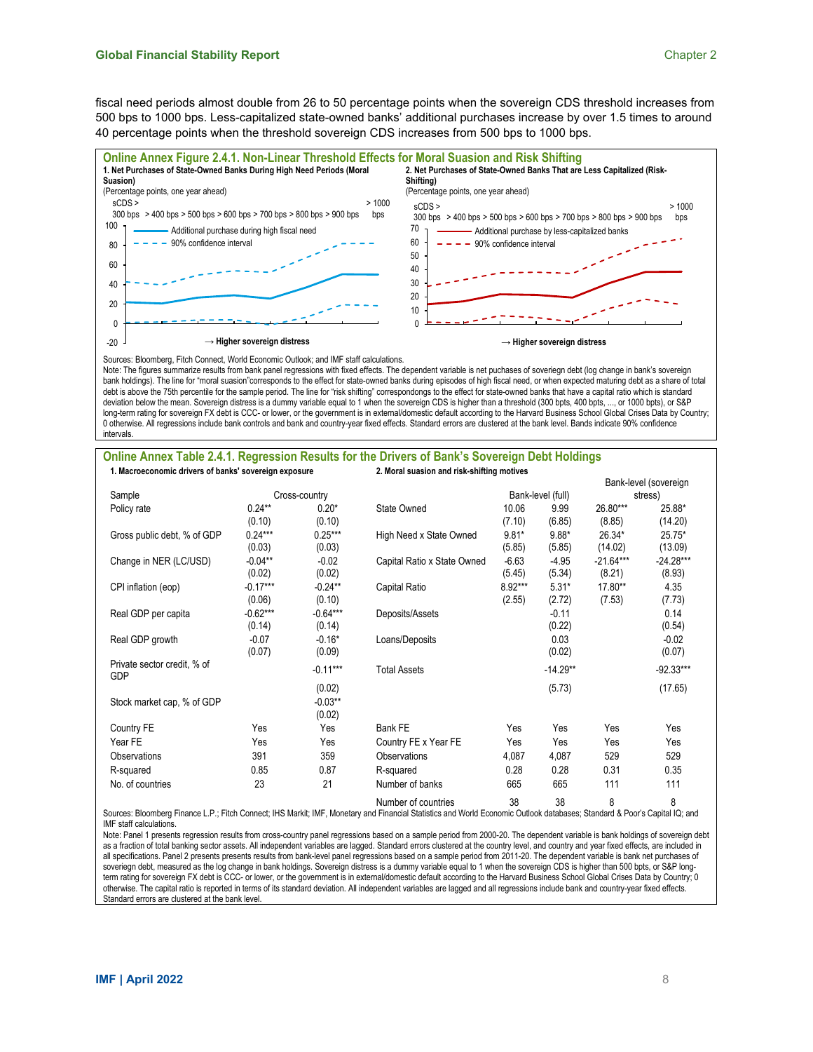fiscal need periods almost double from 26 to 50 percentage points when the sovereign CDS threshold increases from 500 bps to 1000 bps. Less-capitalized state-owned banks' additional purchases increase by over 1.5 times to around 40 percentage points when the threshold sovereign CDS increases from 500 bps to 1000 bps.



Note: The figures summarize results from bank panel regressions with fixed effects. The dependent variable is net puchases of soveriegn debt (log change in bank's sovereign bank holdings). The line for "moral suasion"corresponds to the effect for state-owned banks during episodes of high fiscal need, or when expected maturing debt as a share of total debt is above the 75th percentile for the sample period. The line for "risk shifting" correspondongs to the effect for state-owned banks that have a capital ratio which is standard deviation below the mean. Sovereign distress is a dummy variable equal to 1 when the sovereign CDS is higher than a threshold (300 bpts, 400 bpts, ..., or 1000 bpts), or S&P long-term rating for sovereign FX debt is CCC- or lower, or the government is in external/domestic default according to the Harvard Business School Global Crises Data by Country; 0 otherwise. All regressions include bank controls and bank and country-year fixed effects. Standard errors are clustered at the bank level. Bands indicate 90% confidence intervals.

#### **Online Annex Table 2.4.1. Regression Results for the Drivers of Bank's Sovereign Debt Holdings 1. Macroeconomic drivers of banks' sovereign exposure 2. Moral suasion and risk-shifting motives**

|                                           |                      |                                | <u>star ouuoion unu rion onnumg mourco</u> |                   |                   |                       | Bank-level (sovereign |  |
|-------------------------------------------|----------------------|--------------------------------|--------------------------------------------|-------------------|-------------------|-----------------------|-----------------------|--|
| Sample                                    |                      | Cross-country                  |                                            |                   | Bank-level (full) |                       | stress)               |  |
| Policy rate                               | $0.24***$<br>(0.10)  | $0.20*$<br>(0.10)              | State Owned                                | 10.06<br>(7.10)   | 9.99<br>(6.85)    | 26.80***<br>(8.85)    | 25.88*<br>(14.20)     |  |
| Gross public debt, % of GDP               | $0.24***$<br>(0.03)  | $0.25***$<br>(0.03)            | High Need x State Owned                    | $9.81*$<br>(5.85) | $9.88*$<br>(5.85) | 26.34*<br>(14.02)     | 25.75*<br>(13.09)     |  |
| Change in NER (LC/USD)                    | $-0.04**$<br>(0.02)  | $-0.02$<br>(0.02)              | Capital Ratio x State Owned                | $-6.63$<br>(5.45) | $-4.95$<br>(5.34) | $-21.64***$<br>(8.21) | $-24.28***$<br>(8.93) |  |
| CPI inflation (eop)                       | $-0.17***$<br>(0.06) | $-0.24***$<br>(0.10)           | Capital Ratio                              | 8.92***<br>(2.55) | $5.31*$<br>(2.72) | 17.80**<br>(7.53)     | 4.35<br>(7.73)        |  |
| Real GDP per capita                       | $-0.62***$<br>(0.14) | $-0.64***$<br>(0.14)           | Deposits/Assets                            |                   | $-0.11$<br>(0.22) |                       | 0.14<br>(0.54)        |  |
| Real GDP growth                           | $-0.07$<br>(0.07)    | $-0.16*$<br>(0.09)             | Loans/Deposits                             |                   | 0.03<br>(0.02)    |                       | $-0.02$<br>(0.07)     |  |
| Private sector credit, % of<br><b>GDP</b> |                      | $-0.11***$                     | <b>Total Assets</b>                        |                   | $-14.29**$        |                       | $-92.33***$           |  |
| Stock market cap, % of GDP                |                      | (0.02)<br>$-0.03***$<br>(0.02) |                                            |                   | (5.73)            |                       | (17.65)               |  |
| Country FE                                | Yes                  | Yes                            | Bank FE                                    | Yes               | Yes               | Yes                   | Yes                   |  |
| Year FE                                   | Yes                  | Yes                            | Country FE x Year FE                       | Yes               | Yes               | Yes                   | Yes                   |  |
| <b>Observations</b>                       | 391                  | 359                            | Observations                               | 4,087             | 4,087             | 529                   | 529                   |  |
| R-squared                                 | 0.85                 | 0.87                           | R-squared                                  | 0.28              | 0.28              | 0.31                  | 0.35                  |  |
| No. of countries                          | 23                   | 21                             | Number of banks                            | 665               | 665               | 111                   | 111                   |  |
|                                           |                      |                                | Number of countries                        | 38                | 38                | 8                     | 8                     |  |

Sources: Bloomberg Finance L.P.; Fitch Connect; IHS Markit; IMF, Monetary and Financial Statistics and World Economic Outlook databases; Standard & Poor's Capital IQ; and IMF staff calculations.

Note: Panel 1 presents regression results from cross-country panel regressions based on a sample period from 2000-20. The dependent variable is bank holdings of sovereign debt as a fraction of total banking sector assets. All independent variables are lagged. Standard errors clustered at the country level, and country and year fixed effects, are included in all specifications. Panel 2 presents presents results from bank-level panel regressions based on a sample period from 2011-20. The dependent variable is bank net purchases of soveriegn debt, measured as the log change in bank holdings. Sovereign distress is a dummy variable equal to 1 when the sovereign CDS is higher than 500 bpts, or S&P longterm rating for sovereign FX debt is CCC- or lower, or the government is in external/domestic default according to the Harvard Business School Global Crises Data by Country; 0 otherwise. The capital ratio is reported in terms of its standard deviation. All independent variables are lagged and all regressions include bank and country-year fixed effects. Standard errors are clustered at the bank level.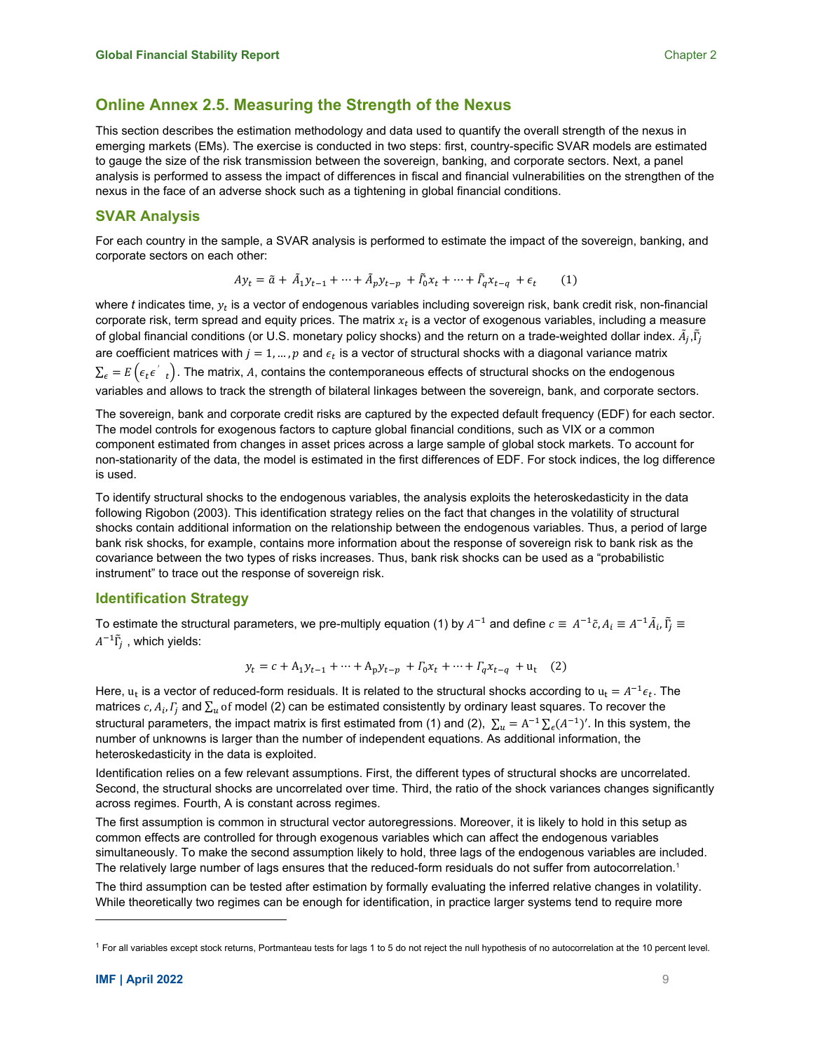## **Online Annex 2.5. Measuring the Strength of the Nexus**

This section describes the estimation methodology and data used to quantify the overall strength of the nexus in emerging markets (EMs). The exercise is conducted in two steps: first, country-specific SVAR models are estimated to gauge the size of the risk transmission between the sovereign, banking, and corporate sectors. Next, a panel analysis is performed to assess the impact of differences in fiscal and financial vulnerabilities on the strengthen of the nexus in the face of an adverse shock such as a tightening in global financial conditions.

## **SVAR Analysis**

For each country in the sample, a SVAR analysis is performed to estimate the impact of the sovereign, banking, and corporate sectors on each other:

$$
Ay_t = \tilde{a} + \tilde{A}_1 y_{t-1} + \dots + \tilde{A}_p y_{t-p} + \tilde{I}_0 x_t + \dots + \tilde{I}_q x_{t-q} + \epsilon_t \tag{1}
$$

where *t* indicates time,  $y_t$  is a vector of endogenous variables including sovereign risk, bank credit risk, non-financial corporate risk, term spread and equity prices. The matrix  $x_t$  is a vector of exogenous variables, including a measure of global financial conditions (or U.S. monetary policy shocks) and the return on a trade-weighted dollar index.  $\tilde A_j,\tilde\Gamma_j$ are coefficient matrices with  $j = 1, ..., p$  and  $\epsilon_t$  is a vector of structural shocks with a diagonal variance matrix  $\Sigma_\epsilon = E\left(\epsilon_t \epsilon'_{t}\right)$ . The matrix, A, contains the contemporaneous effects of structural shocks on the endogenous variables and allows to track the strength of bilateral linkages between the sovereign, bank, and corporate sectors.

The sovereign, bank and corporate credit risks are captured by the expected default frequency (EDF) for each sector. The model controls for exogenous factors to capture global financial conditions, such as VIX or a common component estimated from changes in asset prices across a large sample of global stock markets. To account for non-stationarity of the data, the model is estimated in the first differences of EDF. For stock indices, the log difference is used.

To identify structural shocks to the endogenous variables, the analysis exploits the heteroskedasticity in the data following Rigobon (2003). This identification strategy relies on the fact that changes in the volatility of structural shocks contain additional information on the relationship between the endogenous variables. Thus, a period of large bank risk shocks, for example, contains more information about the response of sovereign risk to bank risk as the covariance between the two types of risks increases. Thus, bank risk shocks can be used as a "probabilistic instrument" to trace out the response of sovereign risk.

### **Identification Strategy**

To estimate the structural parameters, we pre-multiply equation (1) by  $A^{-1}$  and define  $c\equiv\,A^{-1}\tilde c$ ,  $A_i\equiv A^{-1}\tilde A_i$ ,  $\tilde\Gamma_j\equiv$  $A^{-1}\tilde{\Gamma}_j$  , which yields:

$$
y_t = c + A_1 y_{t-1} + \dots + A_p y_{t-p} + \Gamma_0 x_t + \dots + \Gamma_q x_{t-q} + u_t \quad (2)
$$

Here,  $u_t$  is a vector of reduced-form residuals. It is related to the structural shocks according to  $u_t = A^{-1} \epsilon_t$ . The matrices  $c, A_i, I_i$  and  $\Sigma_u$  of model (2) can be estimated consistently by ordinary least squares. To recover the structural parameters, the impact matrix is first estimated from (1) and (2),  $\sum_u = A^{-1}\sum_e (A^{-1})'$ . In this system, the number of unknowns is larger than the number of independent equations. As additional information, the heteroskedasticity in the data is exploited.

Identification relies on a few relevant assumptions. First, the different types of structural shocks are uncorrelated. Second, the structural shocks are uncorrelated over time. Third, the ratio of the shock variances changes significantly across regimes. Fourth, A is constant across regimes.

The first assumption is common in structural vector autoregressions. Moreover, it is likely to hold in this setup as common effects are controlled for through exogenous variables which can affect the endogenous variables simultaneously. To make the second assumption likely to hold, three lags of the endogenous variables are included. The relatively large number of lags ensures that the reduced-form residuals do not suffer from autocorrelation.<sup>1</sup>

The third assumption can be tested after estimation by formally evaluating the inferred relative changes in volatility. While theoretically two regimes can be enough for identification, in practice larger systems tend to require more

 $1$  For all variables except stock returns, Portmanteau tests for lags 1 to 5 do not reject the null hypothesis of no autocorrelation at the 10 percent level.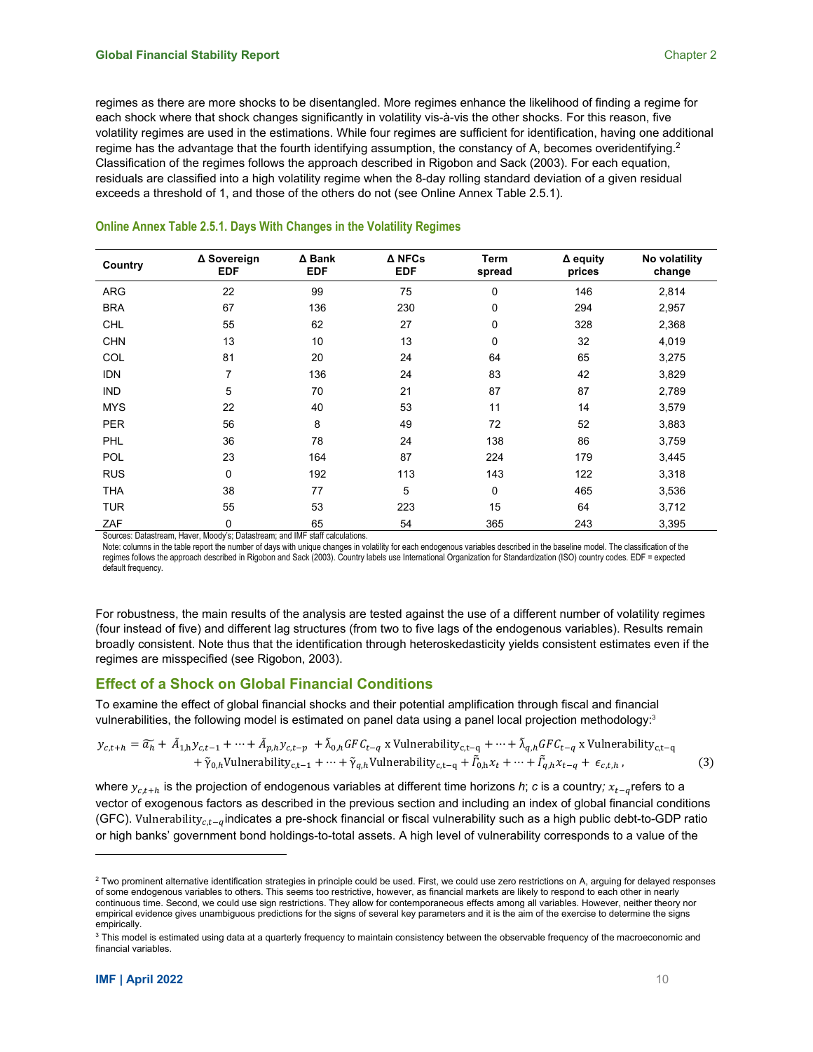regimes as there are more shocks to be disentangled. More regimes enhance the likelihood of finding a regime for each shock where that shock changes significantly in volatility vis-à-vis the other shocks. For this reason, five volatility regimes are used in the estimations. While four regimes are sufficient for identification, having one additional regime has the advantage that the fourth identifying assumption, the constancy of A, becomes overidentifying.<sup>2</sup> Classification of the regimes follows the approach described in Rigobon and Sack (2003). For each equation, residuals are classified into a high volatility regime when the 8-day rolling standard deviation of a given residual exceeds a threshold of 1, and those of the others do not (see Online Annex Table 2.5.1).

| Country    | ∆ Sovereign<br><b>EDF</b> | ∆ Bank<br><b>EDF</b> | ∆ NFCs<br><b>EDF</b> | Term<br>spread | $\Delta$ equity<br>prices | No volatility<br>change |
|------------|---------------------------|----------------------|----------------------|----------------|---------------------------|-------------------------|
| <b>ARG</b> | 22                        | 99                   | 75                   | 0              | 146                       | 2,814                   |
| <b>BRA</b> | 67                        | 136                  | 230                  | 0              | 294                       | 2,957                   |
| <b>CHL</b> | 55                        | 62                   | 27                   | 0              | 328                       | 2,368                   |
| <b>CHN</b> | 13                        | 10                   | 13                   | 0              | 32                        | 4,019                   |
| COL        | 81                        | 20                   | 24                   | 64             | 65                        | 3,275                   |
| <b>IDN</b> | 7                         | 136                  | 24                   | 83             | 42                        | 3,829                   |
| <b>IND</b> | 5                         | 70                   | 21                   | 87             | 87                        | 2,789                   |
| <b>MYS</b> | 22                        | 40                   | 53                   | 11             | 14                        | 3,579                   |
| <b>PER</b> | 56                        | 8                    | 49                   | 72             | 52                        | 3,883                   |
| PHL        | 36                        | 78                   | 24                   | 138            | 86                        | 3,759                   |
| <b>POL</b> | 23                        | 164                  | 87                   | 224            | 179                       | 3,445                   |
| <b>RUS</b> | 0                         | 192                  | 113                  | 143            | 122                       | 3,318                   |
| <b>THA</b> | 38                        | 77                   | 5                    | 0              | 465                       | 3,536                   |
| <b>TUR</b> | 55                        | 53                   | 223                  | 15             | 64                        | 3,712                   |
| ZAF        | 0                         | 65                   | 54                   | 365            | 243                       | 3,395                   |

#### **Online Annex Table 2.5.1. Days With Changes in the Volatility Regimes**

Sources: Datastream, Haver, Moody's; Datastream; and IMF staff calculations.

Note: columns in the table report the number of days with unique changes in volatility for each endogenous variables described in the baseline model. The classification of the regimes follows the approach described in Rigobon and Sack (2003). Country labels use International Organization for Standardization (ISO) country codes. EDF = expected default frequency.

For robustness, the main results of the analysis are tested against the use of a different number of volatility regimes (four instead of five) and different lag structures (from two to five lags of the endogenous variables). Results remain broadly consistent. Note thus that the identification through heteroskedasticity yields consistent estimates even if the regimes are misspecified (see Rigobon, 2003).

## **Effect of a Shock on Global Financial Conditions**

To examine the effect of global financial shocks and their potential amplification through fiscal and financial vulnerabilities, the following model is estimated on panel data using a panel local projection methodology: $^3$ 

$$
y_{c,t+h} = \widetilde{a_h} + \widetilde{A}_{1,h} y_{c,t-1} + \cdots + \widetilde{A}_{p,h} y_{c,t-p} + \widetilde{\lambda}_{0,h} G F C_{t-q} \times \text{Vulnerability}_{c,t-q} + \cdots + \widetilde{\lambda}_{q,h} G F C_{t-q} \times \text{Vulnerability}_{c,t-q} + \widetilde{\gamma}_{0,h} \text{Vulnerability}_{c,t-1} + \cdots + \widetilde{\gamma}_{q,h} \text{Vulnerability}_{c,t-q} + \widetilde{L}_{0,h} x_t + \cdots + \widetilde{L}_{q,h} x_{t-q} + \epsilon_{c,t,h} \tag{3}
$$

where  $y_{c,t+h}$  is the projection of endogenous variables at different time horizons *h*; *c* is a country;  $x_{t-a}$  refers to a vector of exogenous factors as described in the previous section and including an index of global financial conditions (GFC). Vulnerability $_{c.t-a}$  indicates a pre-shock financial or fiscal vulnerability such as a high public debt-to-GDP ratio or high banks' government bond holdings-to-total assets. A high level of vulnerability corresponds to a value of the

<sup>&</sup>lt;sup>2</sup> Two prominent alternative identification strategies in principle could be used. First, we could use zero restrictions on A, arguing for delayed responses of some endogenous variables to others. This seems too restrictive, however, as financial markets are likely to respond to each other in nearly continuous time. Second, we could use sign restrictions. They allow for contemporaneous effects among all variables. However, neither theory nor empirical evidence gives unambiguous predictions for the signs of several key parameters and it is the aim of the exercise to determine the signs empirically.

<sup>&</sup>lt;sup>3</sup> This model is estimated using data at a quarterly frequency to maintain consistency between the observable frequency of the macroeconomic and financial variables.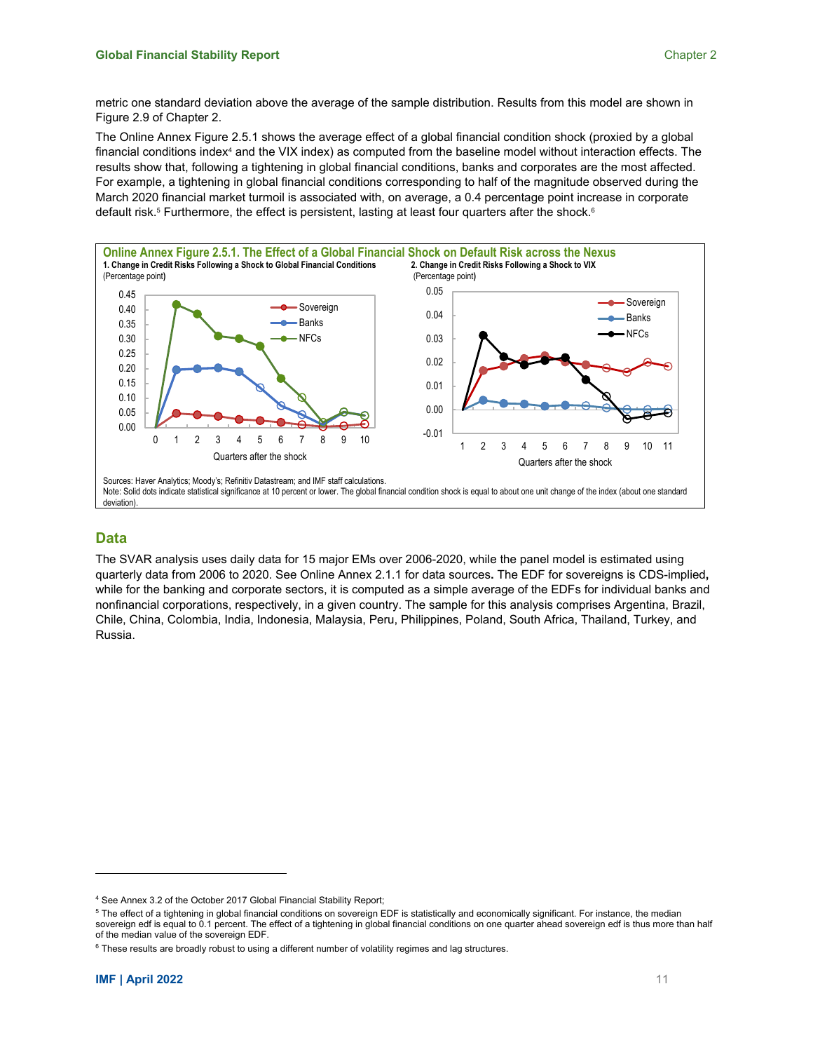metric one standard deviation above the average of the sample distribution. Results from this model are shown in Figure 2.9 of Chapter 2.

The Online Annex Figure 2.5.1 shows the average effect of a global financial condition shock (proxied by a global financial conditions index<sup>4</sup> and the VIX index) as computed from the baseline model without interaction effects. The results show that, following a tightening in global financial conditions, banks and corporates are the most affected. For example, a tightening in global financial conditions corresponding to half of the magnitude observed during the March 2020 financial market turmoil is associated with, on average, a 0.4 percentage point increase in corporate default risk.<sup>5</sup> Furthermore, the effect is persistent, lasting at least four quarters after the shock.<sup>6</sup>



#### **Data**

The SVAR analysis uses daily data for 15 major EMs over 2006-2020, while the panel model is estimated using quarterly data from 2006 to 2020. See Online Annex 2.1.1 for data sources**.** The EDF for sovereigns is CDS-implied**,** while for the banking and corporate sectors, it is computed as a simple average of the EDFs for individual banks and nonfinancial corporations, respectively, in a given country. The sample for this analysis comprises Argentina, Brazil, Chile, China, Colombia, India, Indonesia, Malaysia, Peru, Philippines, Poland, South Africa, Thailand, Turkey, and Russia.

<sup>&</sup>lt;sup>4</sup> See Annex 3.2 of the October 2017 Global Financial Stability Report;

<sup>&</sup>lt;sup>5</sup> The effect of a tightening in global financial conditions on sovereign EDF is statistically and economically significant. For instance, the median

sovereign edf is equal to 0.1 percent. The effect of a tightening in global financial conditions on one quarter ahead sovereign edf is thus more than half of the median value of the sovereign EDF.

 $6$  These results are broadly robust to using a different number of volatility regimes and lag structures.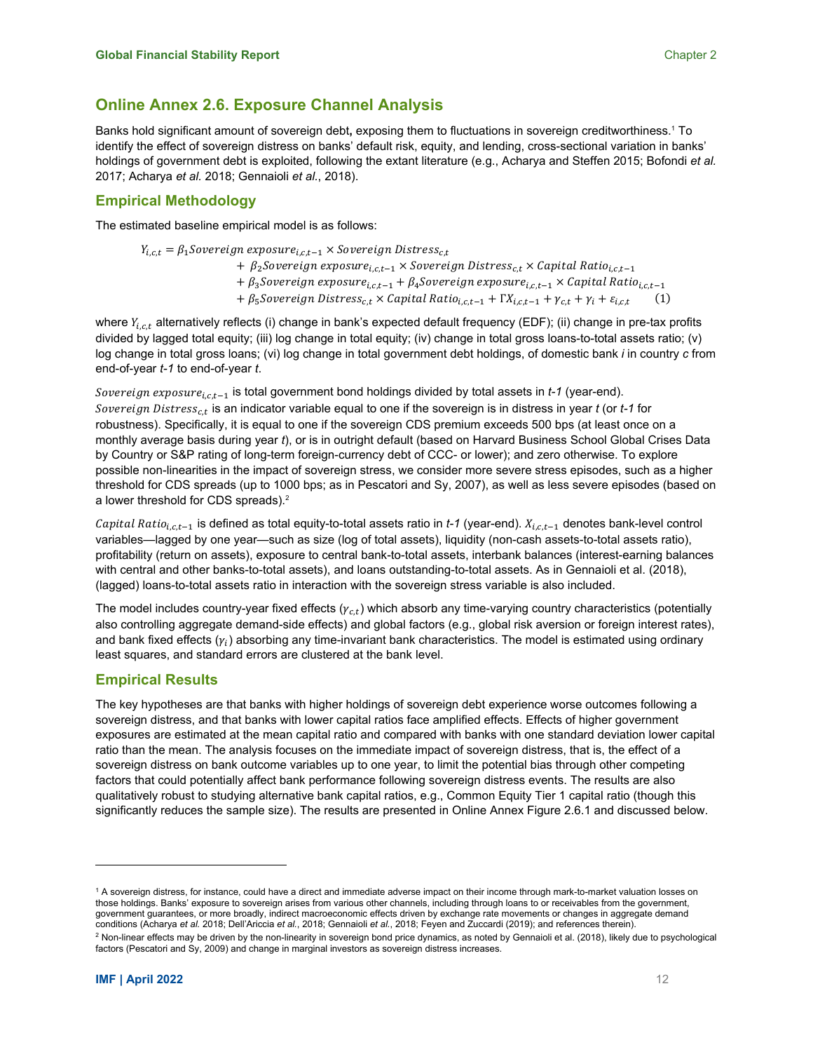## **Online Annex 2.6. Exposure Channel Analysis**

Banks hold significant amount of sovereign debt**,** exposing them to fluctuations in sovereign creditworthiness.1 To identify the effect of sovereign distress on banks' default risk, equity, and lending, cross-sectional variation in banks' holdings of government debt is exploited, following the extant literature (e.g., Acharya and Steffen 2015; Bofondi *et al.* 2017; Acharya *et al.* 2018; Gennaioli *et al.*, 2018).

## **Empirical Methodology**

The estimated baseline empirical model is as follows:

 $Y_{i,c,t} = \beta_1$ Sovereign exposure $_{i,c,t-1} \times$  Sovereign Distress<sub>c,t</sub> +  $\beta_2$ Sovereign exposure<sub>i,c,t-1</sub>  $\times$  Sovereign Distress<sub>c,t</sub>  $\times$  Capital Ratio<sub>i,c,t-1</sub>  $+\beta_3$ Sovereign exposure<sub>i.c.t-1</sub> +  $\beta_4$ Sovereign exposure<sub>i.c.t-1</sub>  $\times$  Capital Ratio<sub>i.c.t-1</sub>

+  $\beta_5$ Sovereign Distress<sub>c,t</sub> × Capital Ratio<sub>i,c,t-1</sub> +  $\Gamma X_{i,c,t-1} + \gamma_{c,t} + \gamma_i + \varepsilon_{i,c,t}$  (1)

where  $Y_{i,c,t}$  alternatively reflects (i) change in bank's expected default frequency (EDF); (ii) change in pre-tax profits divided by lagged total equity; (iii) log change in total equity; (iv) change in total gross loans-to-total assets ratio; (v) log change in total gross loans; (vi) log change in total government debt holdings, of domestic bank *i* in country *c* from end-of-year *t-1* to end-of-year *t*.

Sovereign exposure<sub>i,c,t-1</sub> is total government bond holdings divided by total assets in  $t$ -1 (year-end). Sovereign Distress<sub>c,t</sub> is an indicator variable equal to one if the sovereign is in distress in year *t* (or *t-1* for robustness). Specifically, it is equal to one if the sovereign CDS premium exceeds 500 bps (at least once on a monthly average basis during year *t*), or is in outright default (based on Harvard Business School Global Crises Data by Country or S&P rating of long-term foreign-currency debt of CCC- or lower); and zero otherwise. To explore possible non-linearities in the impact of sovereign stress, we consider more severe stress episodes, such as a higher threshold for CDS spreads (up to 1000 bps; as in Pescatori and Sy, 2007), as well as less severe episodes (based on a lower threshold for CDS spreads).<sup>2</sup>

Capital Ratio<sub>i.c.t</sub>-1 is defined as total equity-to-total assets ratio in *t-1* (year-end).  $X_{i,c,t-1}$  denotes bank-level control variables—lagged by one year—such as size (log of total assets), liquidity (non-cash assets-to-total assets ratio), profitability (return on assets), exposure to central bank-to-total assets, interbank balances (interest-earning balances with central and other banks-to-total assets), and loans outstanding-to-total assets. As in Gennaioli et al. (2018), (lagged) loans-to-total assets ratio in interaction with the sovereign stress variable is also included.

The model includes country-year fixed effects  $(y<sub>ct</sub>)$  which absorb any time-varying country characteristics (potentially also controlling aggregate demand-side effects) and global factors (e.g., global risk aversion or foreign interest rates), and bank fixed effects  $(y_i)$  absorbing any time-invariant bank characteristics. The model is estimated using ordinary least squares, and standard errors are clustered at the bank level.

## **Empirical Results**

The key hypotheses are that banks with higher holdings of sovereign debt experience worse outcomes following a sovereign distress, and that banks with lower capital ratios face amplified effects. Effects of higher government exposures are estimated at the mean capital ratio and compared with banks with one standard deviation lower capital ratio than the mean. The analysis focuses on the immediate impact of sovereign distress, that is, the effect of a sovereign distress on bank outcome variables up to one year, to limit the potential bias through other competing factors that could potentially affect bank performance following sovereign distress events. The results are also qualitatively robust to studying alternative bank capital ratios, e.g., Common Equity Tier 1 capital ratio (though this significantly reduces the sample size). The results are presented in Online Annex Figure 2.6.1 and discussed below.

<sup>1</sup> A sovereign distress, for instance, could have a direct and immediate adverse impact on their income through mark-to-market valuation losses on those holdings. Banks' exposure to sovereign arises from various other channels, including through loans to or receivables from the government, government guarantees, or more broadly, indirect macroeconomic effects driven by exchange rate movements or changes in aggregate demand conditions (Acharya *et al.* 2018; Dell'Ariccia *et al.*, 2018; Gennaioli *et al.*, 2018; Feyen and Zuccardi (2019); and references therein).

 $^2$  Non-linear effects may be driven by the non-linearity in sovereign bond price dynamics, as noted by Gennaioli et al. (2018), likely due to psychological factors (Pescatori and Sy, 2009) and change in marginal investors as sovereign distress increases.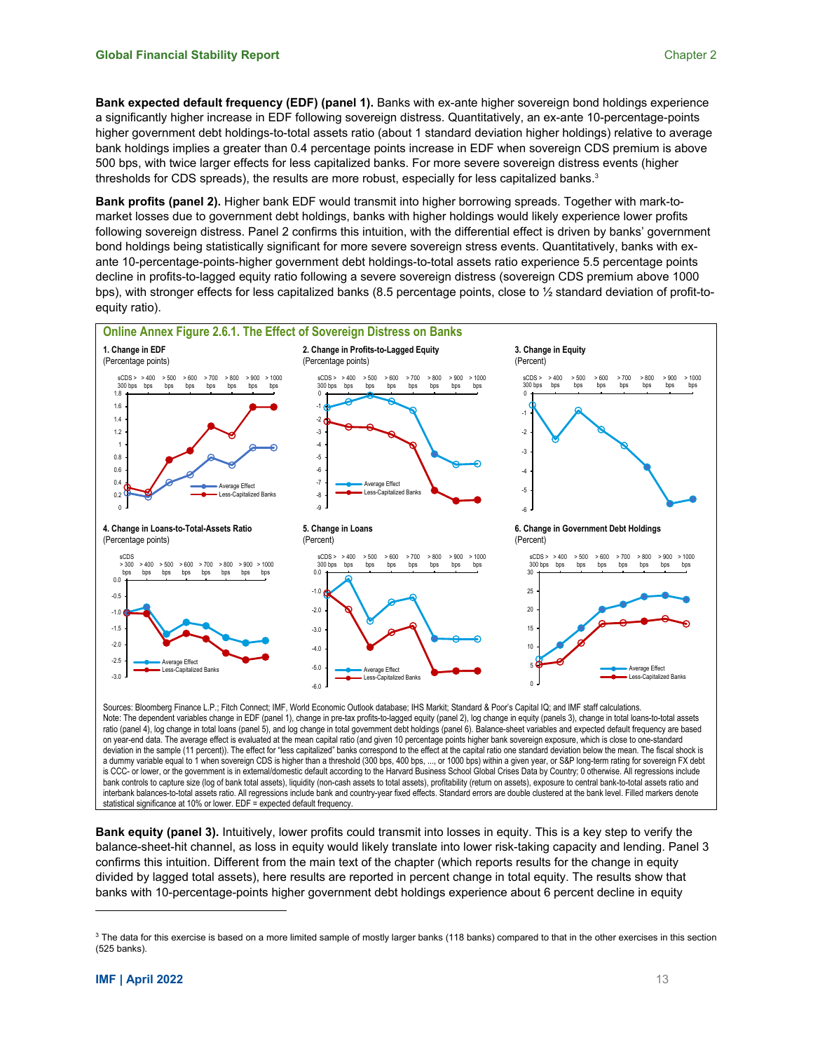**Bank expected default frequency (EDF) (panel 1).** Banks with ex-ante higher sovereign bond holdings experience a significantly higher increase in EDF following sovereign distress. Quantitatively, an ex-ante 10-percentage-points higher government debt holdings-to-total assets ratio (about 1 standard deviation higher holdings) relative to average bank holdings implies a greater than 0.4 percentage points increase in EDF when sovereign CDS premium is above 500 bps, with twice larger effects for less capitalized banks. For more severe sovereign distress events (higher thresholds for CDS spreads), the results are more robust, especially for less capitalized banks. $^3$ 

**Bank profits (panel 2).** Higher bank EDF would transmit into higher borrowing spreads. Together with mark-tomarket losses due to government debt holdings, banks with higher holdings would likely experience lower profits following sovereign distress. Panel 2 confirms this intuition, with the differential effect is driven by banks' government bond holdings being statistically significant for more severe sovereign stress events. Quantitatively, banks with exante 10-percentage-points-higher government debt holdings-to-total assets ratio experience 5.5 percentage points decline in profits-to-lagged equity ratio following a severe sovereign distress (sovereign CDS premium above 1000 bps), with stronger effects for less capitalized banks (8.5 percentage points, close to ½ standard deviation of profit-toequity ratio).



Sources: Bloomberg Finance L.P.; Fitch Connect; IMF, World Economic Outlook database; IHS Markit; Standard & Poor's Capital IQ; and IMF staff calculations. Note: The dependent variables change in EDF (panel 1), change in pre-tax profits-to-lagged equity (panel 2), log change in equity (panels 3), change in total loans-to-total assets ratio (panel 4), log change in total loans (panel 5), and log change in total government debt holdings (panel 6). Balance-sheet variables and expected default frequency are based on year-end data. The average effect is evaluated at the mean capital ratio (and given 10 percentage points higher bank sovereign exposure, which is close to one-standard deviation in the sample (11 percent)). The effect for "less capitalized" banks correspond to the effect at the capital ratio one standard deviation below the mean. The fiscal shock is a dummy variable equal to 1 when sovereign CDS is higher than a threshold (300 bps, 400 bps, ..., or 1000 bps) within a given year, or S&P long-term rating for sovereign FX debt is CCC- or lower, or the government is in external/domestic default according to the Harvard Business School Global Crises Data by Country; 0 otherwise. All regressions include bank controls to capture size (log of bank total assets), liquidity (non-cash assets to total assets), profitability (return on assets), exposure to central bank-to-total assets ratio and interbank balances-to-total assets ratio. All regressions include bank and country-year fixed effects. Standard errors are double clustered at the bank level. Filled markers denote statistical significance at 10% or lower. EDF = expected default frequency.

**Bank equity (panel 3).** Intuitively, lower profits could transmit into losses in equity. This is a key step to verify the balance-sheet-hit channel, as loss in equity would likely translate into lower risk-taking capacity and lending. Panel 3 confirms this intuition. Different from the main text of the chapter (which reports results for the change in equity divided by lagged total assets), here results are reported in percent change in total equity. The results show that banks with 10-percentage-points higher government debt holdings experience about 6 percent decline in equity

 $3$  The data for this exercise is based on a more limited sample of mostly larger banks (118 banks) compared to that in the other exercises in this section (525 banks).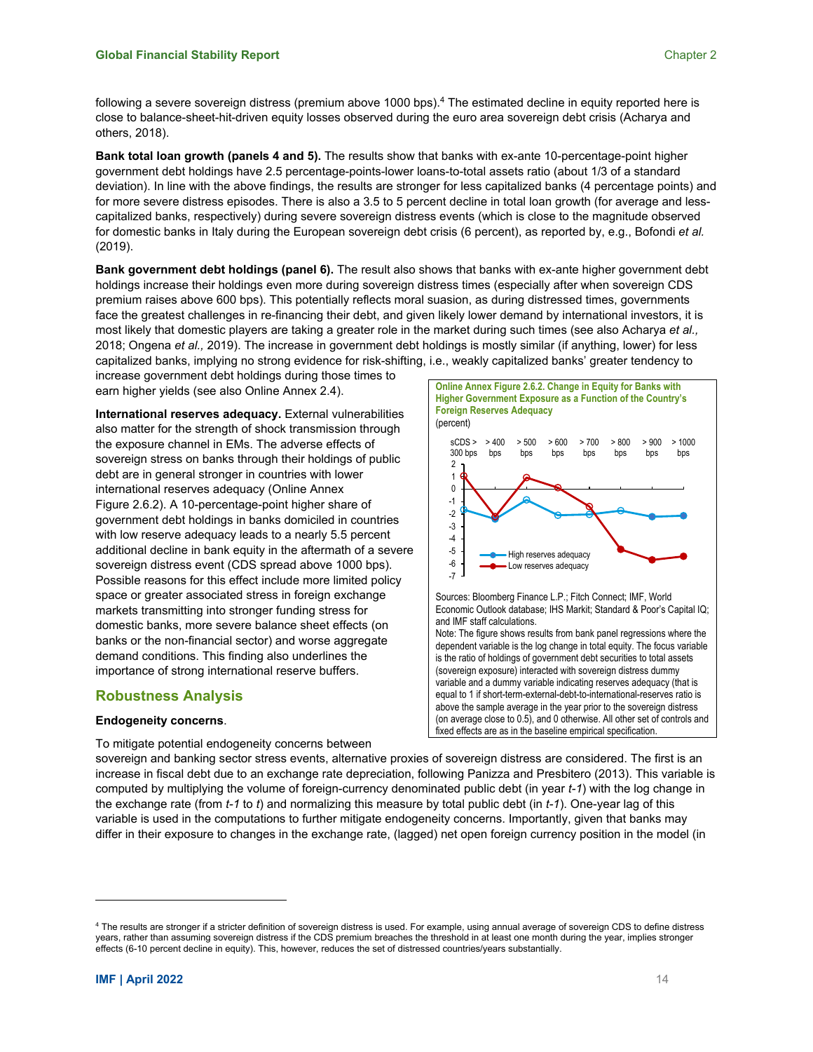following a severe sovereign distress (premium above 1000 bps).<sup>4</sup> The estimated decline in equity reported here is close to balance-sheet-hit-driven equity losses observed during the euro area sovereign debt crisis (Acharya and others, 2018).

**Bank total loan growth (panels 4 and 5).** The results show that banks with ex-ante 10-percentage-point higher government debt holdings have 2.5 percentage-points-lower loans-to-total assets ratio (about 1/3 of a standard deviation). In line with the above findings, the results are stronger for less capitalized banks (4 percentage points) and for more severe distress episodes. There is also a 3.5 to 5 percent decline in total loan growth (for average and lesscapitalized banks, respectively) during severe sovereign distress events (which is close to the magnitude observed for domestic banks in Italy during the European sovereign debt crisis (6 percent), as reported by, e.g., Bofondi *et al.* (2019).

**Bank government debt holdings (panel 6).** The result also shows that banks with ex-ante higher government debt holdings increase their holdings even more during sovereign distress times (especially after when sovereign CDS premium raises above 600 bps). This potentially reflects moral suasion, as during distressed times, governments face the greatest challenges in re-financing their debt, and given likely lower demand by international investors, it is most likely that domestic players are taking a greater role in the market during such times (see also Acharya *et al.,* 2018; Ongena *et al.,* 2019). The increase in government debt holdings is mostly similar (if anything, lower) for less capitalized banks, implying no strong evidence for risk-shifting, i.e., weakly capitalized banks' greater tendency to

increase government debt holdings during those times to earn higher yields (see also Online Annex 2.4).

**International reserves adequacy.** External vulnerabilities also matter for the strength of shock transmission through the exposure channel in EMs. The adverse effects of sovereign stress on banks through their holdings of public debt are in general stronger in countries with lower international reserves adequacy (Online Annex Figure 2.6.2). A 10-percentage-point higher share of government debt holdings in banks domiciled in countries with low reserve adequacy leads to a nearly 5.5 percent additional decline in bank equity in the aftermath of a severe sovereign distress event (CDS spread above 1000 bps). Possible reasons for this effect include more limited policy space or greater associated stress in foreign exchange markets transmitting into stronger funding stress for domestic banks, more severe balance sheet effects (on banks or the non-financial sector) and worse aggregate demand conditions. This finding also underlines the importance of strong international reserve buffers.

## **Robustness Analysis**

### **Endogeneity concerns**.

To mitigate potential endogeneity concerns between



sovereign and banking sector stress events, alternative proxies of sovereign distress are considered. The first is an increase in fiscal debt due to an exchange rate depreciation, following Panizza and Presbitero (2013). This variable is computed by multiplying the volume of foreign-currency denominated public debt (in year *t-1*) with the log change in the exchange rate (from *t-1* to *t*) and normalizing this measure by total public debt (in *t-1*). One-year lag of this variable is used in the computations to further mitigate endogeneity concerns. Importantly, given that banks may differ in their exposure to changes in the exchange rate, (lagged) net open foreign currency position in the model (in

<sup>4</sup> The results are stronger if a stricter definition of sovereign distress is used. For example, using annual average of sovereign CDS to define distress years, rather than assuming sovereign distress if the CDS premium breaches the threshold in at least one month during the year, implies stronger effects (6-10 percent decline in equity). This, however, reduces the set of distressed countries/years substantially.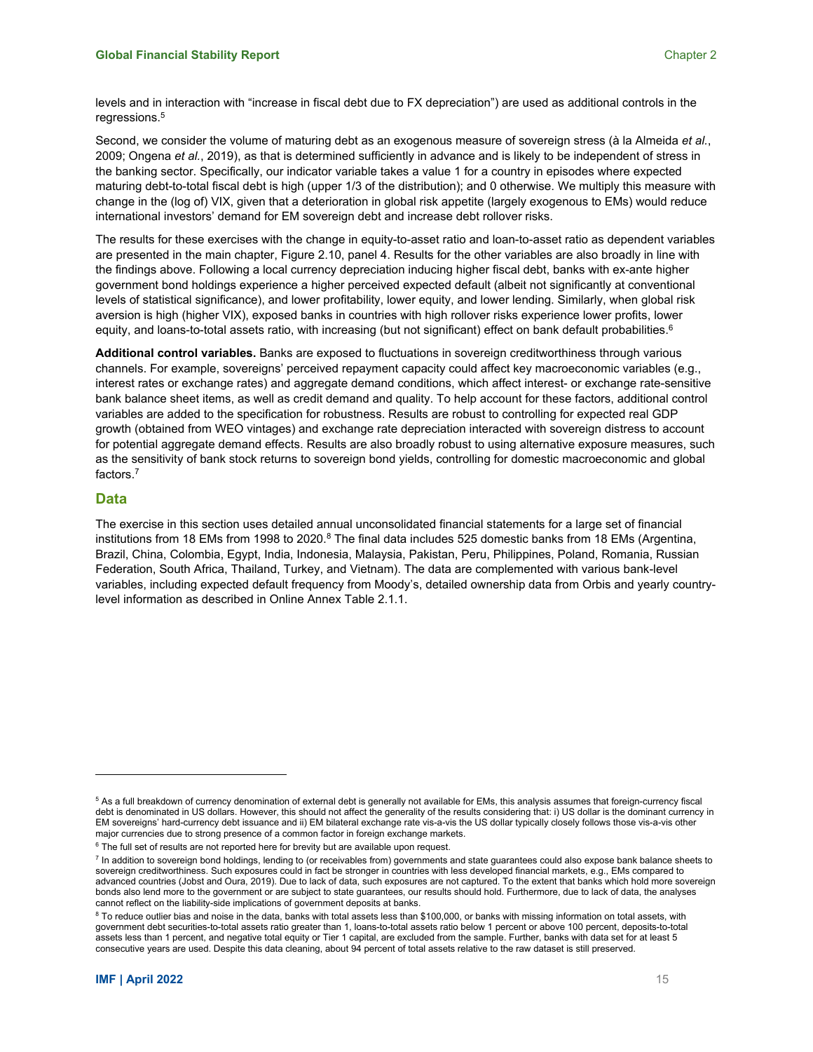levels and in interaction with "increase in fiscal debt due to FX depreciation") are used as additional controls in the regressions.<sup>5</sup>

Second, we consider the volume of maturing debt as an exogenous measure of sovereign stress (à la Almeida *et al.*, 2009; Ongena *et al.*, 2019), as that is determined sufficiently in advance and is likely to be independent of stress in the banking sector. Specifically, our indicator variable takes a value 1 for a country in episodes where expected maturing debt-to-total fiscal debt is high (upper 1/3 of the distribution); and 0 otherwise. We multiply this measure with change in the (log of) VIX, given that a deterioration in global risk appetite (largely exogenous to EMs) would reduce international investors' demand for EM sovereign debt and increase debt rollover risks.

The results for these exercises with the change in equity-to-asset ratio and loan-to-asset ratio as dependent variables are presented in the main chapter, Figure 2.10, panel 4. Results for the other variables are also broadly in line with the findings above. Following a local currency depreciation inducing higher fiscal debt, banks with ex-ante higher government bond holdings experience a higher perceived expected default (albeit not significantly at conventional levels of statistical significance), and lower profitability, lower equity, and lower lending. Similarly, when global risk aversion is high (higher VIX), exposed banks in countries with high rollover risks experience lower profits, lower equity, and loans-to-total assets ratio, with increasing (but not significant) effect on bank default probabilities. $6$ 

**Additional control variables.** Banks are exposed to fluctuations in sovereign creditworthiness through various channels. For example, sovereigns' perceived repayment capacity could affect key macroeconomic variables (e.g., interest rates or exchange rates) and aggregate demand conditions, which affect interest- or exchange rate-sensitive bank balance sheet items, as well as credit demand and quality. To help account for these factors, additional control variables are added to the specification for robustness. Results are robust to controlling for expected real GDP growth (obtained from WEO vintages) and exchange rate depreciation interacted with sovereign distress to account for potential aggregate demand effects. Results are also broadly robust to using alternative exposure measures, such as the sensitivity of bank stock returns to sovereign bond yields, controlling for domestic macroeconomic and global factors.7

#### **Data**

The exercise in this section uses detailed annual unconsolidated financial statements for a large set of financial institutions from 18 EMs from 1998 to 2020.<sup>8</sup> The final data includes 525 domestic banks from 18 EMs (Argentina, Brazil, China, Colombia, Egypt, India, Indonesia, Malaysia, Pakistan, Peru, Philippines, Poland, Romania, Russian Federation, South Africa, Thailand, Turkey, and Vietnam). The data are complemented with various bank-level variables, including expected default frequency from Moody's, detailed ownership data from Orbis and yearly countrylevel information as described in Online Annex Table 2.1.1.

<sup>5</sup> As a full breakdown of currency denomination of external debt is generally not available for EMs, this analysis assumes that foreign-currency fiscal debt is denominated in US dollars. However, this should not affect the generality of the results considering that: i) US dollar is the dominant currency in EM sovereigns' hard-currency debt issuance and ii) EM bilateral exchange rate vis-a-vis the US dollar typically closely follows those vis-a-vis other major currencies due to strong presence of a common factor in foreign exchange markets.

 $6$  The full set of results are not reported here for brevity but are available upon request.

<sup>&</sup>lt;sup>7</sup> In addition to sovereign bond holdings, lending to (or receivables from) governments and state guarantees could also expose bank balance sheets to sovereign creditworthiness. Such exposures could in fact be stronger in countries with less developed financial markets, e.g., EMs compared to advanced countries (Jobst and Oura, 2019). Due to lack of data, such exposures are not captured. To the extent that banks which hold more sovereign bonds also lend more to the government or are subject to state guarantees, our results should hold. Furthermore, due to lack of data, the analyses cannot reflect on the liability-side implications of government deposits at banks.

 $^8$  To reduce outlier bias and noise in the data, banks with total assets less than \$100,000, or banks with missing information on total assets, with government debt securities-to-total assets ratio greater than 1, loans-to-total assets ratio below 1 percent or above 100 percent, deposits-to-total assets less than 1 percent, and negative total equity or Tier 1 capital, are excluded from the sample. Further, banks with data set for at least 5 consecutive years are used. Despite this data cleaning, about 94 percent of total assets relative to the raw dataset is still preserved.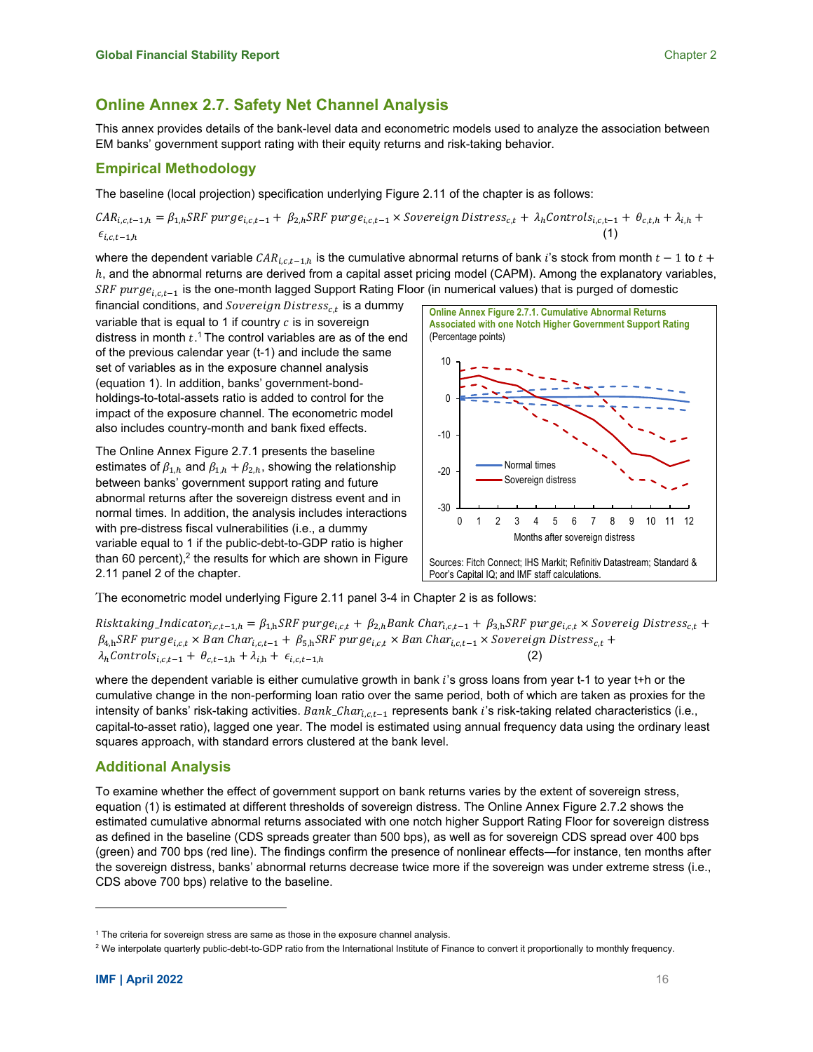## **Online Annex 2.7. Safety Net Channel Analysis**

This annex provides details of the bank-level data and econometric models used to analyze the association between EM banks' government support rating with their equity returns and risk-taking behavior.

## **Empirical Methodology**

The baseline (local projection) specification underlying Figure 2.11 of the chapter is as follows:

 $CAR_{i,c,t-1,h} = \beta_{1,h} SRF pure_{i,c,t-1} + \beta_{2,h} SRF pure_{i,c,t-1} \times Sovereign \, Distress_{c,t} + \lambda_h Controls_{i,c,t-1} + \theta_{c,t,h} + \lambda_{i,h} + \lambda_{i,h}$  $\epsilon_{i,c,t-1,h}$  (1)

where the dependent variable  $CAR_{i,c,t-1,h}$  is the cumulative abnormal returns of bank i's stock from month  $t-1$  to  $t+$  $h$ , and the abnormal returns are derived from a capital asset pricing model (CAPM). Among the explanatory variables, SRF purge<sub>i,c,t-1</sub> is the one-month lagged Support Rating Floor (in numerical values) that is purged of domestic

financial conditions, and  $Sovereign \, Distress_{c,t}$  is a dummy variable that is equal to 1 if country  $c$  is in sovereign distress in month  $t$ .<sup>1</sup> The control variables are as of the end of the previous calendar year (t-1) and include the same set of variables as in the exposure channel analysis (equation 1). In addition, banks' government-bondholdings-to-total-assets ratio is added to control for the impact of the exposure channel. The econometric model also includes country-month and bank fixed effects.

The Online Annex Figure 2.7.1 presents the baseline estimates of  $\beta_{1,h}$  and  $\beta_{1,h} + \beta_{2,h}$ , showing the relationship between banks' government support rating and future abnormal returns after the sovereign distress event and in normal times. In addition, the analysis includes interactions with pre-distress fiscal vulnerabilities (i.e., a dummy variable equal to 1 if the public-debt-to-GDP ratio is higher than 60 percent), $2$  the results for which are shown in Figure 2.11 panel 2 of the chapter.



The econometric model underlying Figure 2.11 panel 3-4 in Chapter 2 is as follows:

Risktaking\_Indicator<sub>i,c,t-1,h</sub> =  $\beta_{1,h}$ SRF purge<sub>i,c,t</sub> +  $\beta_{2,h}$ Bank Char<sub>i,c,t-1</sub> +  $\beta_{3,h}$ SRF purge<sub>i,c,t</sub> × Sovereig Distress<sub>c,t</sub> +  $\beta_{4,h}$ SRF purge<sub>i.c.t</sub> × Ban Char<sub>l.c.t</sub>-1 +  $\beta_{5,h}$ SRF purge<sub>i.c.t</sub> × Ban Char<sub>l.c.t-1</sub> × Sovereign Distress<sub>c.t</sub> +  $\lambda_h$ Controls<sub>i,c,t-1</sub> +  $\theta_{c,t-1,h} + \lambda_{i,h} + \epsilon_{i,c,t-1,h}$ 

where the dependent variable is either cumulative growth in bank  $i$ 's gross loans from year t-1 to year t+h or the cumulative change in the non-performing loan ratio over the same period, both of which are taken as proxies for the intensity of banks' risk-taking activities.  $Bank_{\_}Char_{i\_1-1}$  represents bank i's risk-taking related characteristics (i.e., capital-to-asset ratio), lagged one year. The model is estimated using annual frequency data using the ordinary least squares approach, with standard errors clustered at the bank level.

## **Additional Analysis**

To examine whether the effect of government support on bank returns varies by the extent of sovereign stress, equation (1) is estimated at different thresholds of sovereign distress. The Online Annex Figure 2.7.2 shows the estimated cumulative abnormal returns associated with one notch higher Support Rating Floor for sovereign distress as defined in the baseline (CDS spreads greater than 500 bps), as well as for sovereign CDS spread over 400 bps (green) and 700 bps (red line). The findings confirm the presence of nonlinear effects—for instance, ten months after the sovereign distress, banks' abnormal returns decrease twice more if the sovereign was under extreme stress (i.e., CDS above 700 bps) relative to the baseline.

<sup>&</sup>lt;sup>1</sup> The criteria for sovereign stress are same as those in the exposure channel analysis.

<sup>&</sup>lt;sup>2</sup> We interpolate quarterly public-debt-to-GDP ratio from the International Institute of Finance to convert it proportionally to monthly frequency.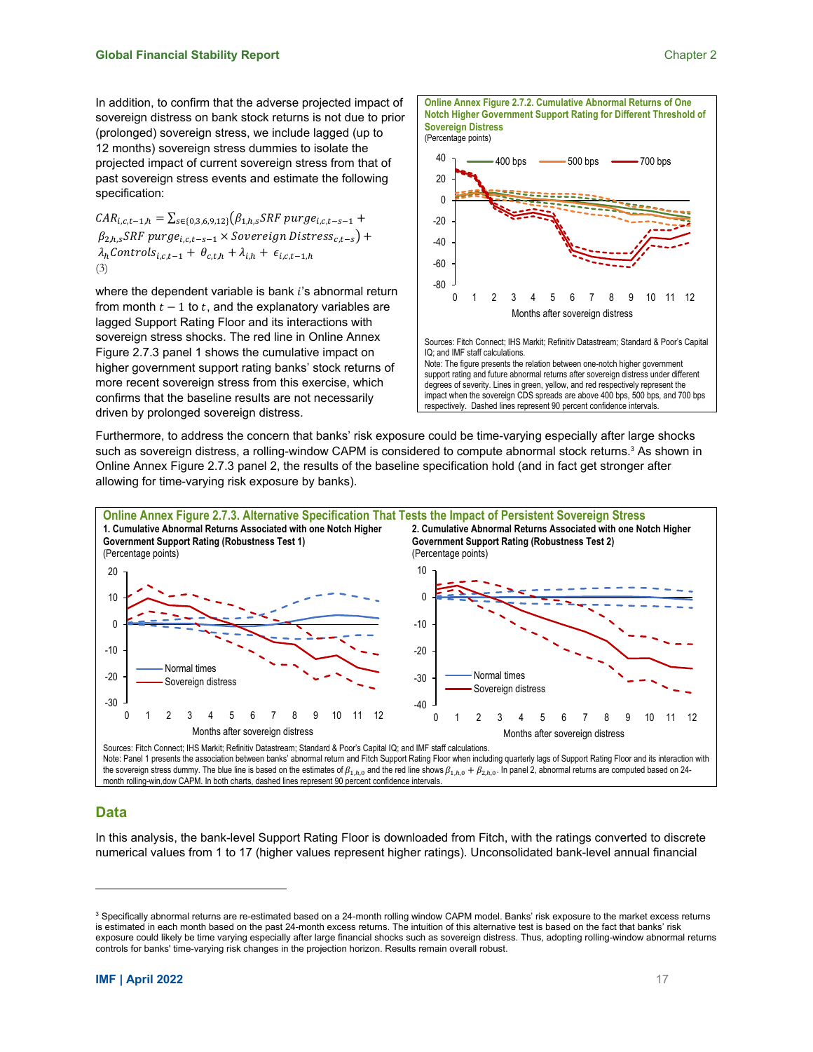$CAR_{i,c,t-1,h} = \sum_{s \in \{0,3,6,9,12\}} (\beta_{1,h,s} SRF \, purge_{i,c,t-s-1} +$  $\beta_{2,h,s}$ SRF purge<sub>i.c.t-s-1</sub>  $\times$  Sovereign Distress<sub>ct-s</sub>) +  $\lambda_h$ Controls<sub>i,c,t-1</sub> +  $\theta_{c,t,h}$  +  $\lambda_{i,h}$  +  $\epsilon_{i,c,t-1,h}$ (3)

where the dependent variable is bank  $i$ 's abnormal return from month  $t - 1$  to  $t$ , and the explanatory variables are lagged Support Rating Floor and its interactions with sovereign stress shocks. The red line in Online Annex Figure 2.7.3 panel 1 shows the cumulative impact on higher government support rating banks' stock returns of more recent sovereign stress from this exercise, which confirms that the baseline results are not necessarily driven by prolonged sovereign distress.



respectively. Dashed lines represent 90 percent confidence intervals.

Furthermore, to address the concern that banks' risk exposure could be time-varying especially after large shocks such as sovereign distress, a rolling-window CAPM is considered to compute abnormal stock returns.<sup>3</sup> As shown in Online Annex Figure 2.7.3 panel 2, the results of the baseline specification hold (and in fact get stronger after allowing for time-varying risk exposure by banks).



Note: Panel 1 presents the association between banks' abnormal return and Fitch Support Rating Floor when including quarterly lags of Support Rating Floor and its interaction with the sovereign stress dummy. The blue line is based on the estimates of  $\beta_{1,h,0}$  and the red line shows  $\beta_{1,h,0} + \beta_{2,h,0}$ . In panel 2, abnormal returns are computed based on 24month rolling-win,dow CAPM. In both charts, dashed lines represent 90 percent confidence intervals.

### **Data**

In this analysis, the bank-level Support Rating Floor is downloaded from Fitch, with the ratings converted to discrete numerical values from 1 to 17 (higher values represent higher ratings). Unconsolidated bank-level annual financial

 $^3$  Specifically abnormal returns are re-estimated based on a 24-month rolling window CAPM model. Banks' risk exposure to the market excess returns is estimated in each month based on the past 24-month excess returns. The intuition of this alternative test is based on the fact that banks' risk exposure could likely be time varying especially after large financial shocks such as sovereign distress. Thus, adopting rolling-window abnormal returns controls for banks' time-varying risk changes in the projection horizon. Results remain overall robust.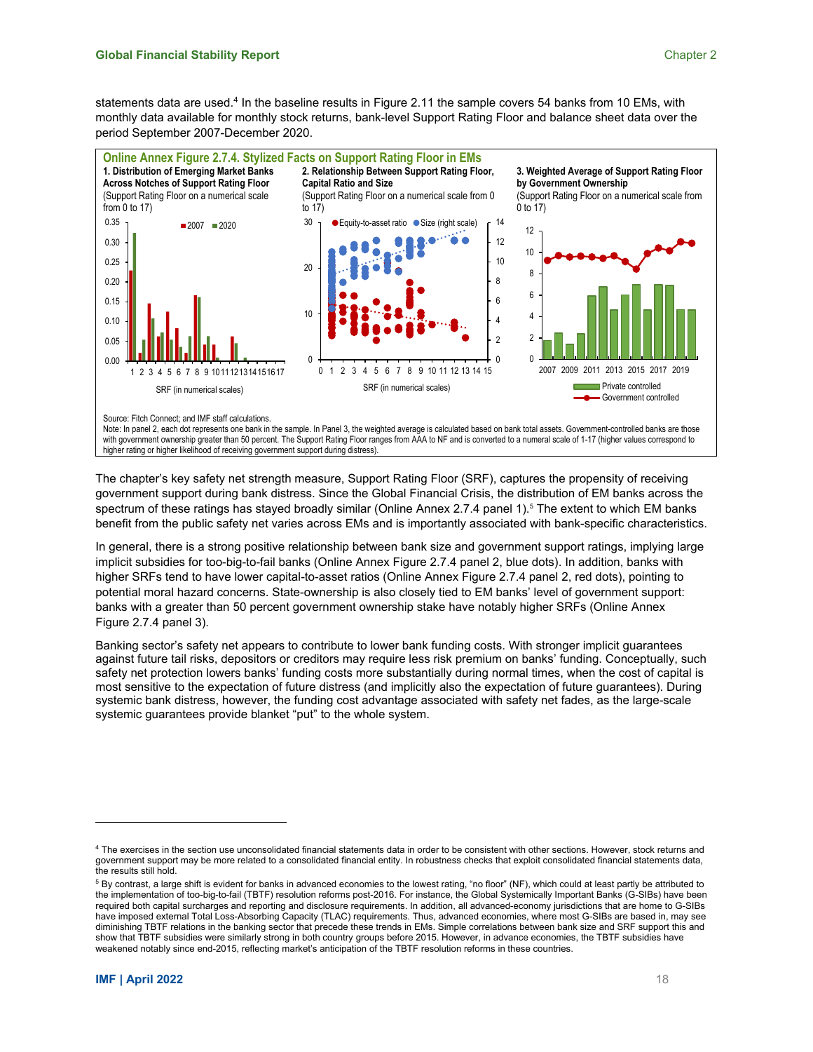statements data are used.<sup>4</sup> In the baseline results in Figure 2.11 the sample covers 54 banks from 10 EMs, with monthly data available for monthly stock returns, bank-level Support Rating Floor and balance sheet data over the period September 2007-December 2020.



higher rating or higher likelihood of receiving government support during distress).

The chapter's key safety net strength measure, Support Rating Floor (SRF), captures the propensity of receiving government support during bank distress. Since the Global Financial Crisis, the distribution of EM banks across the spectrum of these ratings has stayed broadly similar (Online Annex 2.7.4 panel 1).<sup>5</sup> The extent to which EM banks benefit from the public safety net varies across EMs and is importantly associated with bank-specific characteristics.

In general, there is a strong positive relationship between bank size and government support ratings, implying large implicit subsidies for too-big-to-fail banks (Online Annex Figure 2.7.4 panel 2, blue dots). In addition, banks with higher SRFs tend to have lower capital-to-asset ratios (Online Annex Figure 2.7.4 panel 2, red dots), pointing to potential moral hazard concerns. State-ownership is also closely tied to EM banks' level of government support: banks with a greater than 50 percent government ownership stake have notably higher SRFs (Online Annex Figure 2.7.4 panel 3).

Banking sector's safety net appears to contribute to lower bank funding costs. With stronger implicit guarantees against future tail risks, depositors or creditors may require less risk premium on banks' funding. Conceptually, such safety net protection lowers banks' funding costs more substantially during normal times, when the cost of capital is most sensitive to the expectation of future distress (and implicitly also the expectation of future guarantees). During systemic bank distress, however, the funding cost advantage associated with safety net fades, as the large-scale systemic guarantees provide blanket "put" to the whole system.

<sup>4</sup> The exercises in the section use unconsolidated financial statements data in order to be consistent with other sections. However, stock returns and government support may be more related to a consolidated financial entity. In robustness checks that exploit consolidated financial statements data, the results still hold.

 $^5$  By contrast, a large shift is evident for banks in advanced economies to the lowest rating, "no floor" (NF), which could at least partly be attributed to the implementation of too-big-to-fail (TBTF) resolution reforms post-2016. For instance, the Global Systemically Important Banks (G-SIBs) have been required both capital surcharges and reporting and disclosure requirements. In addition, all advanced-economy jurisdictions that are home to G-SIBs have imposed external Total Loss-Absorbing Capacity (TLAC) requirements. Thus, advanced economies, where most G-SIBs are based in, may see diminishing TBTF relations in the banking sector that precede these trends in EMs. Simple correlations between bank size and SRF support this and show that TBTF subsidies were similarly strong in both country groups before 2015. However, in advance economies, the TBTF subsidies have weakened notably since end-2015, reflecting market's anticipation of the TBTF resolution reforms in these countries.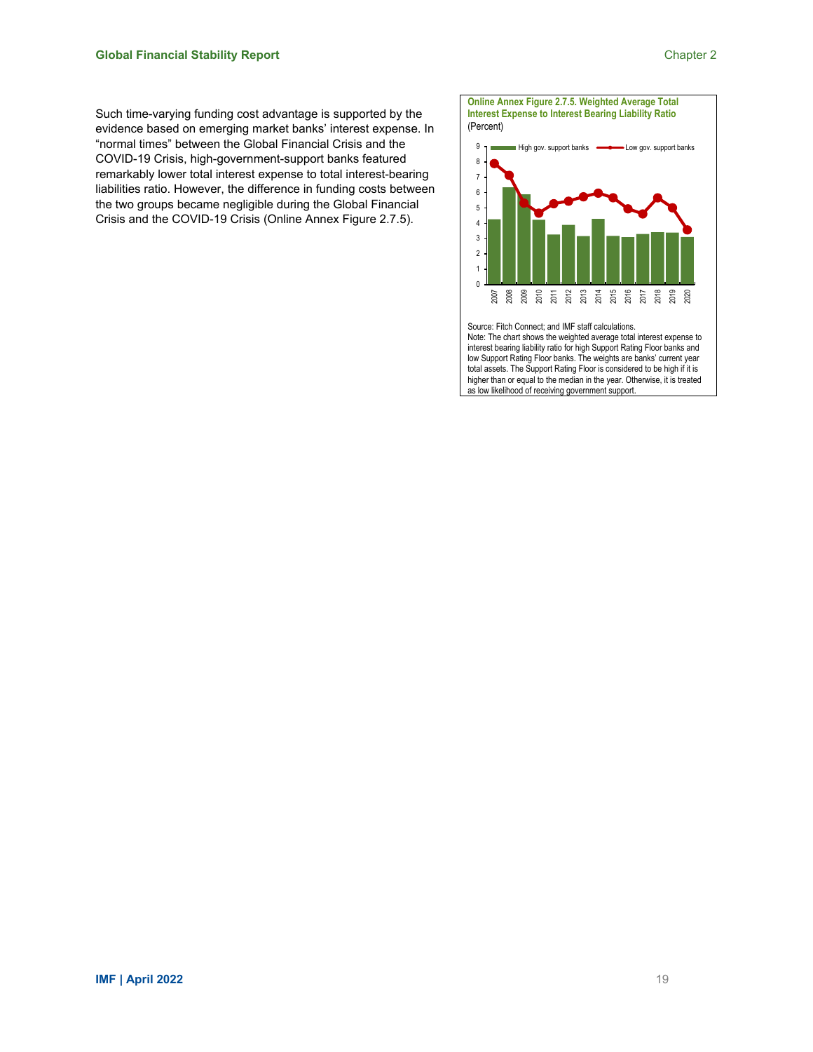Such time-varying funding cost advantage is supported by the evidence based on emerging market banks' interest expense. In "normal times" between the Global Financial Crisis and the COVID-19 Crisis, high-government-support banks featured remarkably lower total interest expense to total interest-bearing liabilities ratio. However, the difference in funding costs between the two groups became negligible during the Global Financial Crisis and the COVID-19 Crisis (Online Annex Figure 2.7.5).



interest bearing liability ratio for high Support Rating Floor banks and low Support Rating Floor banks. The weights are banks' current year total assets. The Support Rating Floor is considered to be high if it is higher than or equal to the median in the year. Otherwise, it is treated as low likelihood of receiving government support.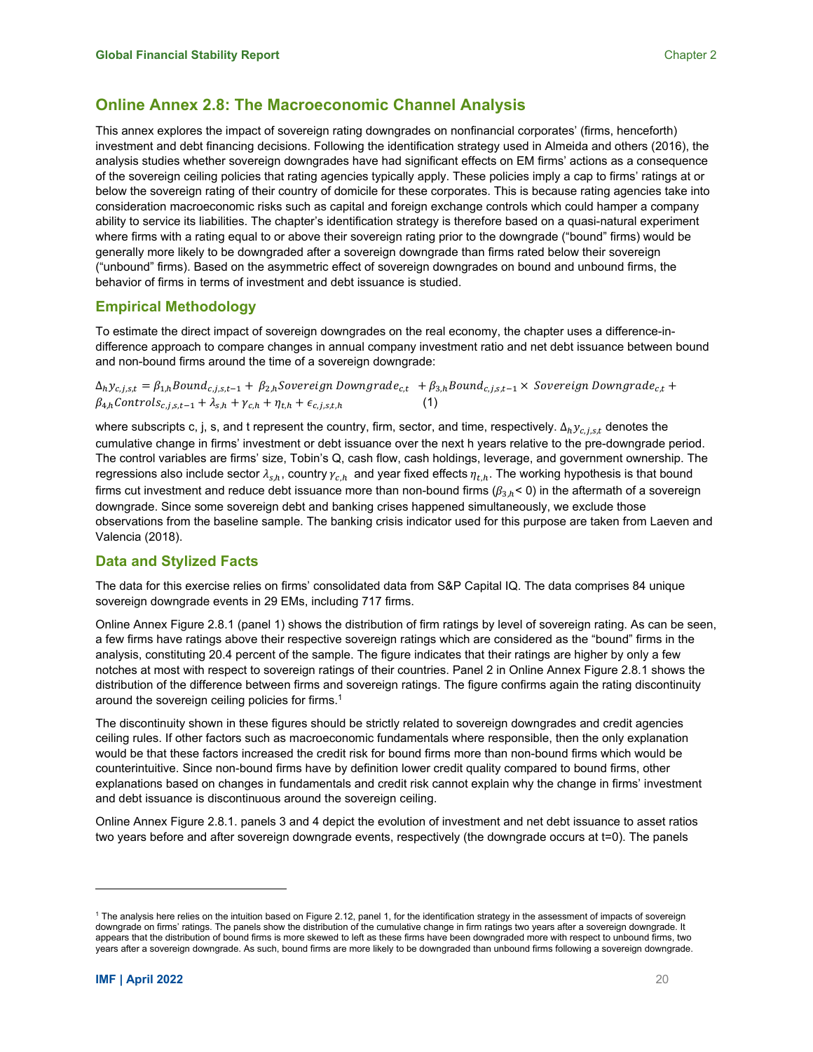## **Online Annex 2.8: The Macroeconomic Channel Analysis**

This annex explores the impact of sovereign rating downgrades on nonfinancial corporates' (firms, henceforth) investment and debt financing decisions. Following the identification strategy used in Almeida and others (2016), the analysis studies whether sovereign downgrades have had significant effects on EM firms' actions as a consequence of the sovereign ceiling policies that rating agencies typically apply. These policies imply a cap to firms' ratings at or below the sovereign rating of their country of domicile for these corporates. This is because rating agencies take into consideration macroeconomic risks such as capital and foreign exchange controls which could hamper a company ability to service its liabilities. The chapter's identification strategy is therefore based on a quasi-natural experiment where firms with a rating equal to or above their sovereign rating prior to the downgrade ("bound" firms) would be generally more likely to be downgraded after a sovereign downgrade than firms rated below their sovereign ("unbound" firms). Based on the asymmetric effect of sovereign downgrades on bound and unbound firms, the behavior of firms in terms of investment and debt issuance is studied.

### **Empirical Methodology**

To estimate the direct impact of sovereign downgrades on the real economy, the chapter uses a difference-indifference approach to compare changes in annual company investment ratio and net debt issuance between bound and non-bound firms around the time of a sovereign downgrade:

 $\Delta_h y_{c,j,s,t} = \beta_{1,h} Bound_{c,j,s,t-1} + \beta_{2,h} Soviet_{c,j,n} Downgrade_{c,t} + \beta_{3,h} Bound_{c,j,s,t-1} \times Sovereign\ Downgrade_{c,t} +$  $\beta_{4,h}$ Controls<sub>c,j,s,t-1</sub> +  $\lambda_{s,h}$  +  $\gamma_{c,h}$  +  $\eta_{t,h}$  +  $\epsilon_{c,j,s,t,h}$ 

where subscripts c, j, s, and t represent the country, firm, sector, and time, respectively.  $\Delta_h y_{c,j,s,t}$  denotes the cumulative change in firms' investment or debt issuance over the next h years relative to the pre-downgrade period. The control variables are firms' size, Tobin's Q, cash flow, cash holdings, leverage, and government ownership. The regressions also include sector  $\lambda_{s,h}$ , country  $\gamma_{c,h}$  and year fixed effects  $\eta_{t,h}$ . The working hypothesis is that bound firms cut investment and reduce debt issuance more than non-bound firms ( $\beta_{3,h}$ < 0) in the aftermath of a sovereign downgrade. Since some sovereign debt and banking crises happened simultaneously, we exclude those observations from the baseline sample. The banking crisis indicator used for this purpose are taken from Laeven and Valencia (2018).

## **Data and Stylized Facts**

The data for this exercise relies on firms' consolidated data from S&P Capital IQ. The data comprises 84 unique sovereign downgrade events in 29 EMs, including 717 firms.

Online Annex Figure 2.8.1 (panel 1) shows the distribution of firm ratings by level of sovereign rating. As can be seen, a few firms have ratings above their respective sovereign ratings which are considered as the "bound" firms in the analysis, constituting 20.4 percent of the sample. The figure indicates that their ratings are higher by only a few notches at most with respect to sovereign ratings of their countries. Panel 2 in Online Annex Figure 2.8.1 shows the distribution of the difference between firms and sovereign ratings. The figure confirms again the rating discontinuity around the sovereign ceiling policies for firms.<sup>1</sup>

The discontinuity shown in these figures should be strictly related to sovereign downgrades and credit agencies ceiling rules. If other factors such as macroeconomic fundamentals where responsible, then the only explanation would be that these factors increased the credit risk for bound firms more than non-bound firms which would be counterintuitive. Since non-bound firms have by definition lower credit quality compared to bound firms, other explanations based on changes in fundamentals and credit risk cannot explain why the change in firms' investment and debt issuance is discontinuous around the sovereign ceiling.

Online Annex Figure 2.8.1. panels 3 and 4 depict the evolution of investment and net debt issuance to asset ratios two years before and after sovereign downgrade events, respectively (the downgrade occurs at t=0). The panels

<sup>1</sup> The analysis here relies on the intuition based on Figure 2.12, panel 1, for the identification strategy in the assessment of impacts of sovereign downgrade on firms' ratings. The panels show the distribution of the cumulative change in firm ratings two years after a sovereign downgrade. It appears that the distribution of bound firms is more skewed to left as these firms have been downgraded more with respect to unbound firms, two years after a sovereign downgrade. As such, bound firms are more likely to be downgraded than unbound firms following a sovereign downgrade.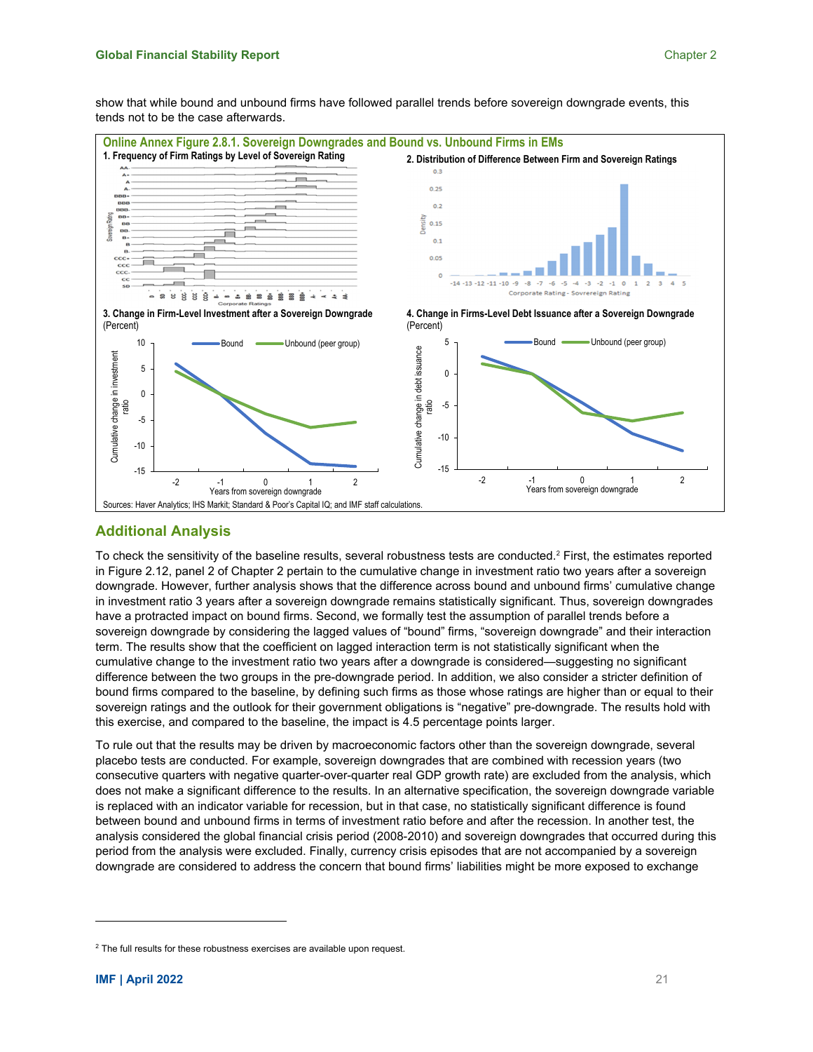show that while bound and unbound firms have followed parallel trends before sovereign downgrade events, this tends not to be the case afterwards.



## **Additional Analysis**

To check the sensitivity of the baseline results, several robustness tests are conducted. $^2$  First, the estimates reported in Figure 2.12, panel 2 of Chapter 2 pertain to the cumulative change in investment ratio two years after a sovereign downgrade. However, further analysis shows that the difference across bound and unbound firms' cumulative change in investment ratio 3 years after a sovereign downgrade remains statistically significant. Thus, sovereign downgrades have a protracted impact on bound firms. Second, we formally test the assumption of parallel trends before a sovereign downgrade by considering the lagged values of "bound" firms, "sovereign downgrade" and their interaction term. The results show that the coefficient on lagged interaction term is not statistically significant when the cumulative change to the investment ratio two years after a downgrade is considered—suggesting no significant difference between the two groups in the pre-downgrade period. In addition, we also consider a stricter definition of bound firms compared to the baseline, by defining such firms as those whose ratings are higher than or equal to their sovereign ratings and the outlook for their government obligations is "negative" pre-downgrade. The results hold with this exercise, and compared to the baseline, the impact is 4.5 percentage points larger.

To rule out that the results may be driven by macroeconomic factors other than the sovereign downgrade, several placebo tests are conducted. For example, sovereign downgrades that are combined with recession years (two consecutive quarters with negative quarter-over-quarter real GDP growth rate) are excluded from the analysis, which does not make a significant difference to the results. In an alternative specification, the sovereign downgrade variable is replaced with an indicator variable for recession, but in that case, no statistically significant difference is found between bound and unbound firms in terms of investment ratio before and after the recession. In another test, the analysis considered the global financial crisis period (2008-2010) and sovereign downgrades that occurred during this period from the analysis were excluded. Finally, currency crisis episodes that are not accompanied by a sovereign downgrade are considered to address the concern that bound firms' liabilities might be more exposed to exchange

<sup>&</sup>lt;sup>2</sup> The full results for these robustness exercises are available upon request.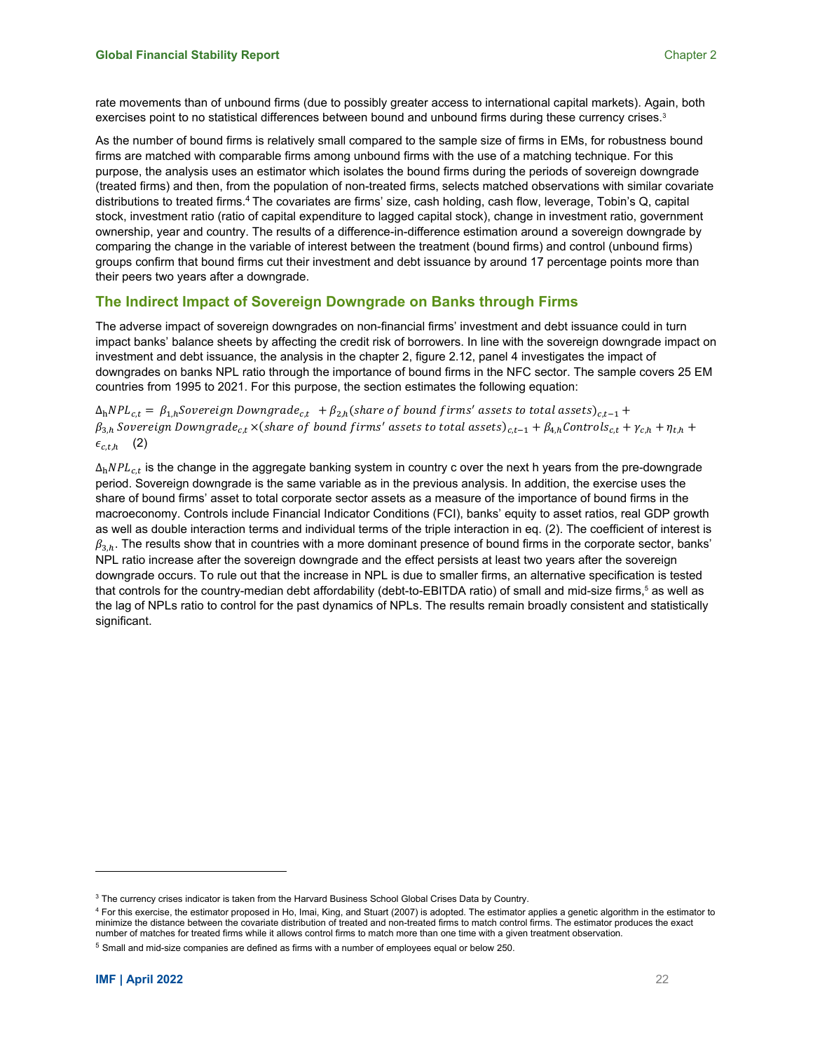rate movements than of unbound firms (due to possibly greater access to international capital markets). Again, both exercises point to no statistical differences between bound and unbound firms during these currency crises.<sup>3</sup>

As the number of bound firms is relatively small compared to the sample size of firms in EMs, for robustness bound firms are matched with comparable firms among unbound firms with the use of a matching technique. For this purpose, the analysis uses an estimator which isolates the bound firms during the periods of sovereign downgrade (treated firms) and then, from the population of non-treated firms, selects matched observations with similar covariate distributions to treated firms.4 The covariates are firms' size, cash holding, cash flow, leverage, Tobin's Q, capital stock, investment ratio (ratio of capital expenditure to lagged capital stock), change in investment ratio, government ownership, year and country. The results of a difference-in-difference estimation around a sovereign downgrade by comparing the change in the variable of interest between the treatment (bound firms) and control (unbound firms) groups confirm that bound firms cut their investment and debt issuance by around 17 percentage points more than their peers two years after a downgrade.

## **The Indirect Impact of Sovereign Downgrade on Banks through Firms**

The adverse impact of sovereign downgrades on non-financial firms' investment and debt issuance could in turn impact banks' balance sheets by affecting the credit risk of borrowers. In line with the sovereign downgrade impact on investment and debt issuance, the analysis in the chapter 2, figure 2.12, panel 4 investigates the impact of downgrades on banks NPL ratio through the importance of bound firms in the NFC sector. The sample covers 25 EM countries from 1995 to 2021. For this purpose, the section estimates the following equation:

 $\Delta_h NPL_{c,t} = \beta_{1,h}$ Sovereign Downgrade<sub>c,t</sub> +  $\beta_{2,h}$ (share of bound firms' assets to total assets)<sub>c,t-1</sub> +  $\beta_{3,h}$  Sovereign Downgrade<sub>ct</sub>  $\times$ (share of bound firms' assets to total assets)<sub>ct-1</sub> +  $\beta_{4,h}$ Controls<sub>ct</sub> +  $\gamma_{c,h}$  +  $\eta_{t,h}$  +  $\epsilon_{c.t.h}$  (2)

 $\Delta_h NPL_{c,t}$  is the change in the aggregate banking system in country c over the next h years from the pre-downgrade period. Sovereign downgrade is the same variable as in the previous analysis. In addition, the exercise uses the share of bound firms' asset to total corporate sector assets as a measure of the importance of bound firms in the macroeconomy. Controls include Financial Indicator Conditions (FCI), banks' equity to asset ratios, real GDP growth as well as double interaction terms and individual terms of the triple interaction in eq. (2). The coefficient of interest is  $\beta_{3,h}$ . The results show that in countries with a more dominant presence of bound firms in the corporate sector, banks' NPL ratio increase after the sovereign downgrade and the effect persists at least two years after the sovereign downgrade occurs. To rule out that the increase in NPL is due to smaller firms, an alternative specification is tested that controls for the country-median debt affordability (debt-to-EBITDA ratio) of small and mid-size firms,<sup>5</sup> as well as the lag of NPLs ratio to control for the past dynamics of NPLs. The results remain broadly consistent and statistically significant.

 $3$  The currency crises indicator is taken from the Harvard Business School Global Crises Data by Country.

<sup>4</sup> For this exercise, the estimator proposed in Ho, Imai, King, and Stuart (2007) is adopted. The estimator applies a genetic algorithm in the estimator to minimize the distance between the covariate distribution of treated and non-treated firms to match control firms. The estimator produces the exact number of matches for treated firms while it allows control firms to match more than one time with a given treatment observation.

 $5$  Small and mid-size companies are defined as firms with a number of employees equal or below 250.